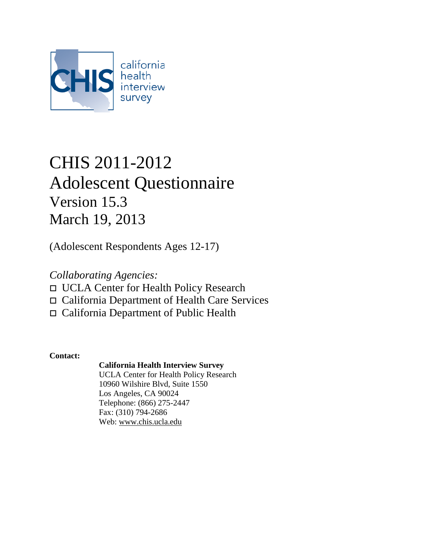

# CHIS 2011-2012 Adolescent Questionnaire Version 15.3 March 19, 2013

(Adolescent Respondents Ages 12-17)

*Collaborating Agencies:*

- UCLA Center for Health Policy Research
- California Department of Health Care Services
- California Department of Public Health

**Contact:**

### **California Health Interview Survey**

UCLA Center for Health Policy Research 10960 Wilshire Blvd, Suite 1550 Los Angeles, CA 90024 Telephone: (866) 275-2447 Fax: (310) 794-2686 Web: [www.chis.ucla.edu](http://www.chis.ucla.edu/)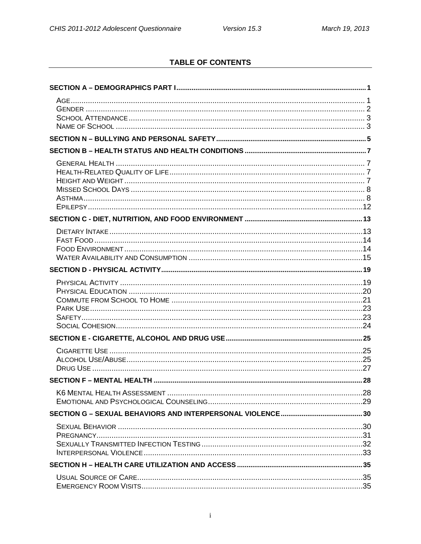### **TABLE OF CONTENTS**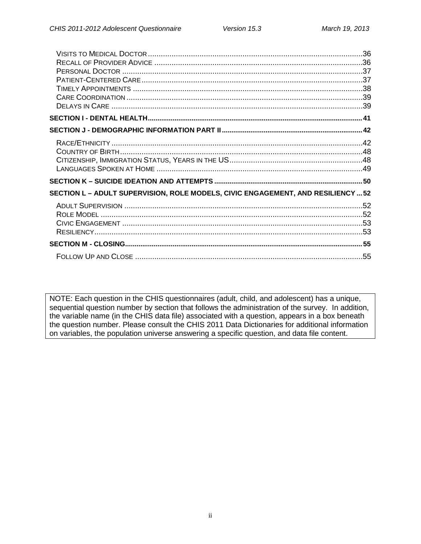| SECTION L - ADULT SUPERVISION, ROLE MODELS, CIVIC ENGAGEMENT, AND RESILIENCY  52 |  |
|----------------------------------------------------------------------------------|--|
|                                                                                  |  |
|                                                                                  |  |
|                                                                                  |  |
|                                                                                  |  |
|                                                                                  |  |
|                                                                                  |  |

NOTE: Each question in the CHIS questionnaires (adult, child, and adolescent) has a unique, sequential question number by section that follows the administration of the survey. In addition, the variable name (in the CHIS data file) associated with a question, appears in a box beneath the question number. Please consult the CHIS 2011 Data Dictionaries for additional information on variables, the population universe answering a specific question, and data file content.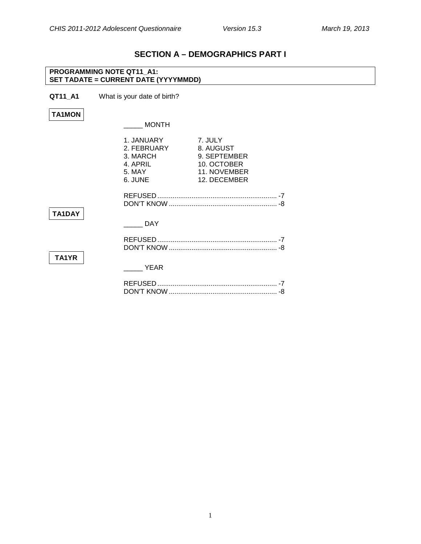### **SECTION A – DEMOGRAPHICS PART I**

<span id="page-3-1"></span><span id="page-3-0"></span>

| <b>PROGRAMMING NOTE QT11_A1:</b><br>SET TADATE = CURRENT DATE (YYYYMMDD) |                                                                        |                                                                                     |
|--------------------------------------------------------------------------|------------------------------------------------------------------------|-------------------------------------------------------------------------------------|
| QT11_A1                                                                  | What is your date of birth?                                            |                                                                                     |
| <b>TA1MON</b>                                                            |                                                                        |                                                                                     |
|                                                                          | <b>MONTH</b>                                                           |                                                                                     |
|                                                                          | 1. JANUARY<br>2. FEBRUARY<br>3. MARCH<br>4. APRIL<br>5. MAY<br>6. JUNE | 7. JULY<br>8. AUGUST<br>9. SEPTEMBER<br>10. OCTOBER<br>11. NOVEMBER<br>12. DECEMBER |
| TA1DAY                                                                   |                                                                        |                                                                                     |
|                                                                          | <b>DAY</b>                                                             |                                                                                     |
| TA <sub>1</sub> YR                                                       |                                                                        |                                                                                     |
|                                                                          | <b>YEAR</b>                                                            |                                                                                     |
|                                                                          |                                                                        |                                                                                     |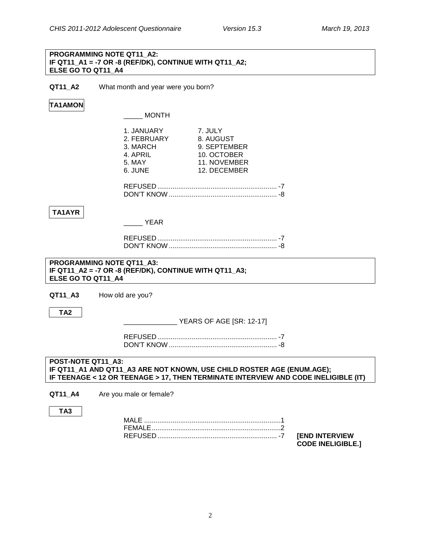#### **PROGRAMMING NOTE QT11\_A2: IF QT11\_A1 = -7 OR -8 (REF/DK), CONTINUE WITH QT11\_A2; ELSE GO TO QT11\_A4**

**QT11\_A2** What month and year were you born?

### **TA1AMON**

\_\_\_\_\_ MONTH

|                                                        | 1. JANUARY<br>2. FEBRUARY<br>3. MARCH<br>4. APRIL<br>5. MAY<br>6. JUNE | 7. JULY<br>8. AUGUST<br>9. SEPTEMBER<br>10. OCTOBER<br>11. NOVEMBER<br>12. DECEMBER                                                                          |
|--------------------------------------------------------|------------------------------------------------------------------------|--------------------------------------------------------------------------------------------------------------------------------------------------------------|
|                                                        |                                                                        |                                                                                                                                                              |
| TA1AYR                                                 | YEAR                                                                   |                                                                                                                                                              |
|                                                        |                                                                        |                                                                                                                                                              |
| <b>PROGRAMMING NOTE QT11 A3:</b><br>ELSE GO TO QT11 A4 | IF QT11_A2 = -7 OR -8 (REF/DK), CONTINUE WITH QT11_A3;                 |                                                                                                                                                              |
| QT11 A3                                                | How old are you?                                                       |                                                                                                                                                              |
| TA <sub>2</sub>                                        |                                                                        | VEARS OF AGE [SR: 12-17]                                                                                                                                     |
|                                                        |                                                                        |                                                                                                                                                              |
| POST-NOTE QT11 A3:                                     |                                                                        | IF QT11_A1 AND QT11_A3 ARE NOT KNOWN, USE CHILD ROSTER AGE (ENUM.AGE);<br>IF TEENAGE < 12 OR TEENAGE > 17, THEN TERMINATE INTERVIEW AND CODE INELIGIBLE (IT) |
| QT11_A4                                                | Are you male or female?                                                |                                                                                                                                                              |
| TA <sub>3</sub>                                        |                                                                        |                                                                                                                                                              |

<span id="page-4-0"></span>FEMALE....................................................................2 REFUSED ............................................................... -7 **[END INTERVIEW** 

**CODE INELIGIBLE.]**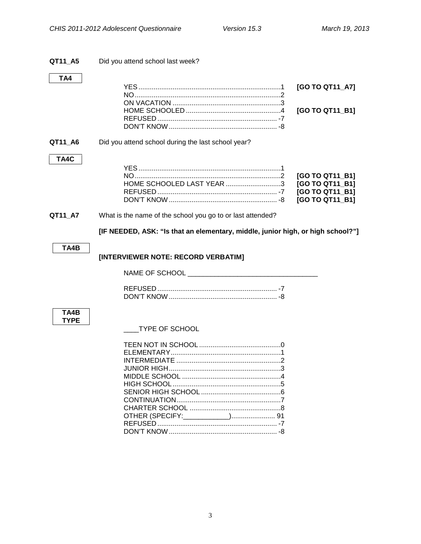<span id="page-5-1"></span><span id="page-5-0"></span>

| QT11_A5     | Did you attend school last week?                                                |                                                                          |
|-------------|---------------------------------------------------------------------------------|--------------------------------------------------------------------------|
| TA4         |                                                                                 | [GO TO QT11_A7]<br>[GO TO QT11_B1]                                       |
| QT11_A6     | Did you attend school during the last school year?                              |                                                                          |
| TA4C        | HOME SCHOOLED LAST YEAR 3                                                       | [GO TO QT11_B1]<br>[GO TO QT11_B1]<br>[GO TO QT11 B1]<br>[GO TO QT11 B1] |
| QT11_A7     | What is the name of the school you go to or last attended?                      |                                                                          |
|             | [IF NEEDED, ASK: "Is that an elementary, middle, junior high, or high school?"] |                                                                          |
| TA4B        | [INTERVIEWER NOTE: RECORD VERBATIM]                                             |                                                                          |
|             |                                                                                 |                                                                          |
| TA4B        |                                                                                 |                                                                          |
| <b>TYPE</b> | <b>TYPE OF SCHOOL</b>                                                           |                                                                          |
|             |                                                                                 |                                                                          |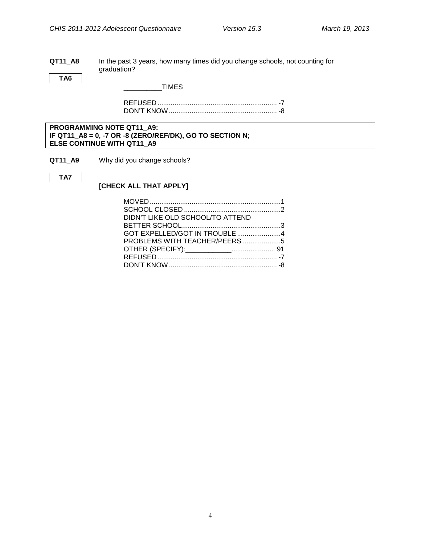#### **QT11\_A8** In the past 3 years, how many times did you change schools, not counting for graduation?

**TA6**

 $_$  TIMES

REFUSED ............................................................... -7 DON'T KNOW......................................................... -8

**PROGRAMMING NOTE QT11\_A9: IF QT11\_A8 = 0, -7 OR -8 (ZERO/REF/DK), GO TO SECTION N; ELSE CONTINUE WITH QT11\_A9**

**QT11\_A9** Why did you change schools?

```
TA7
```
### **[CHECK ALL THAT APPLY]**

| DIDN'T LIKE OLD SCHOOL/TO ATTEND |  |
|----------------------------------|--|
|                                  |  |
| GOT EXPELLED/GOT IN TROUBLE 4    |  |
| PROBLEMS WITH TEACHER/PEERS 5    |  |
|                                  |  |
|                                  |  |
|                                  |  |
|                                  |  |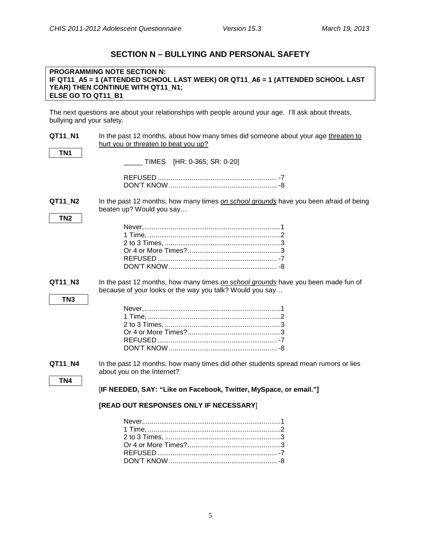### **SECTION N – BULLYING AND PERSONAL SAFETY**

#### <span id="page-7-0"></span>**PROGRAMMING NOTE SECTION N: IF QT11\_A5 = 1 (ATTENDED SCHOOL LAST WEEK) OR QT11\_A6 = 1 (ATTENDED SCHOOL LAST YEAR) THEN CONTINUE WITH QT11\_N1; ELSE GO TO QT11\_B1**

The next questions are about your relationships with people around your age. I'll ask about threats, bullying and your safety.

| QT11 N1         | In the past 12 months, about how many times did someone about your age threaten to<br>hurt you or threaten to beat you up?                    |
|-----------------|-----------------------------------------------------------------------------------------------------------------------------------------------|
| TN <sub>1</sub> | TIMES [HR: 0-365; SR: 0-20]                                                                                                                   |
|                 |                                                                                                                                               |
| QT11_N2         | In the past 12 months, how many times on school grounds have you been afraid of being<br>beaten up? Would you say                             |
| TN <sub>2</sub> |                                                                                                                                               |
| QT11_N3         | In the past 12 months, how many times on school grounds have you been made fun of<br>because of your looks or the way you talk? Would you say |
| TN <sub>3</sub> |                                                                                                                                               |
| QT11_N4         | In the past 12 months, how many times did other students spread mean rumors or lies<br>about you on the Internet?                             |
| TN <sub>4</sub> | [IF NEEDED, SAY: "Like on Facebook, Twitter, MySpace, or email."]                                                                             |
|                 | [READ OUT RESPONSES ONLY IF NECESSARY]                                                                                                        |
|                 |                                                                                                                                               |

REFUSED ............................................................... -7 DON'T KNOW......................................................... -8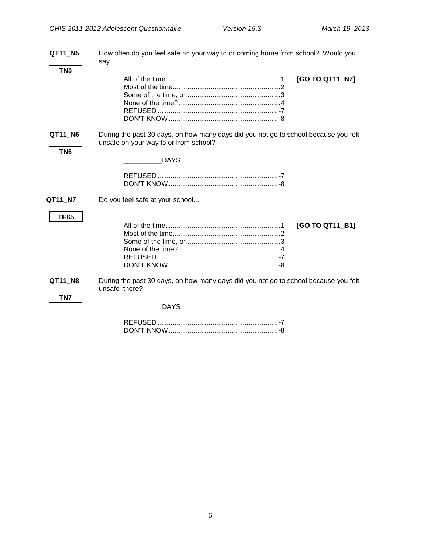| QT11_N5                    | How often do you feel safe on your way to or coming home from school? Would you<br>say                                                      |
|----------------------------|---------------------------------------------------------------------------------------------------------------------------------------------|
| TN5                        | [GO TO QT11_N7]                                                                                                                             |
| QT11_N6<br>TN <sub>6</sub> | During the past 30 days, on how many days did you not go to school because you felt<br>unsafe on your way to or from school?<br><b>DAYS</b> |
| QT11_N7<br><b>TE65</b>     | Do you feel safe at your school<br>[GO TO QT11_B1]                                                                                          |
| QT11 N8<br>TN7             | During the past 30 days, on how many days did you not go to school because you felt<br>unsafe there?<br><b>DAYS</b>                         |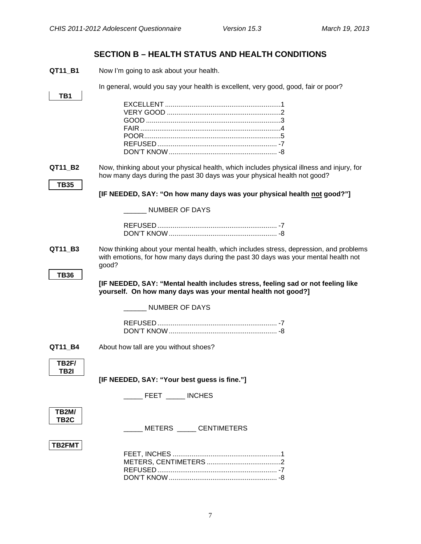┑

### **SECTION B – HEALTH STATUS AND HEALTH CONDITIONS**

<span id="page-9-1"></span><span id="page-9-0"></span>**QT11\_B1** Now I'm going to ask about your health.

In general, would you say your health is excellent, very good, good, fair or poor?

<span id="page-9-3"></span><span id="page-9-2"></span>

| TB1                               |                                                                                                                                                                                        |
|-----------------------------------|----------------------------------------------------------------------------------------------------------------------------------------------------------------------------------------|
|                                   |                                                                                                                                                                                        |
|                                   |                                                                                                                                                                                        |
|                                   |                                                                                                                                                                                        |
|                                   |                                                                                                                                                                                        |
|                                   |                                                                                                                                                                                        |
| QT11 B2                           | Now, thinking about your physical health, which includes physical illness and injury, for<br>how many days during the past 30 days was your physical health not good?                  |
| <b>TB35</b>                       |                                                                                                                                                                                        |
|                                   | [IF NEEDED, SAY: "On how many days was your physical health not good?"]                                                                                                                |
|                                   | <b>NUMBER OF DAYS</b>                                                                                                                                                                  |
|                                   |                                                                                                                                                                                        |
|                                   |                                                                                                                                                                                        |
| QT11_B3                           | Now thinking about your mental health, which includes stress, depression, and problems<br>with emotions, for how many days during the past 30 days was your mental health not<br>good? |
| <b>TB36</b>                       |                                                                                                                                                                                        |
|                                   | [IF NEEDED, SAY: "Mental health includes stress, feeling sad or not feeling like<br>yourself. On how many days was your mental health not good?]                                       |
|                                   | NUMBER OF DAYS                                                                                                                                                                         |
|                                   |                                                                                                                                                                                        |
| QT11_B4                           | About how tall are you without shoes?                                                                                                                                                  |
| TB2F/<br><b>TB2I</b>              |                                                                                                                                                                                        |
|                                   | [IF NEEDED, SAY: "Your best guess is fine."]                                                                                                                                           |
|                                   | <b>INCHES</b><br><b>FEET</b>                                                                                                                                                           |
| <b>TB2M/</b><br>TB <sub>2</sub> C | METERS CENTIMETERS                                                                                                                                                                     |
| TB2FMT                            |                                                                                                                                                                                        |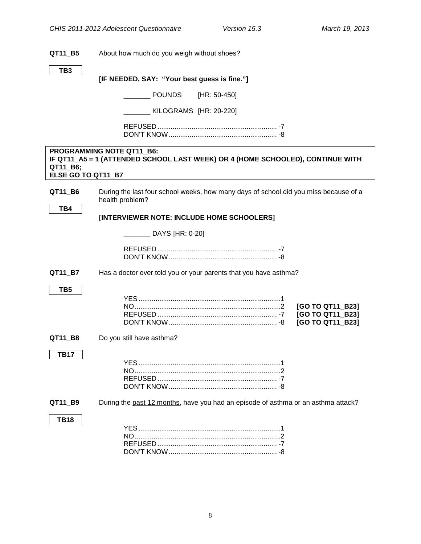<span id="page-10-1"></span><span id="page-10-0"></span>

| QT11_B5                        | About how much do you weigh without shoes?                                                                  |
|--------------------------------|-------------------------------------------------------------------------------------------------------------|
| TB <sub>3</sub>                |                                                                                                             |
|                                | [IF NEEDED, SAY: "Your best guess is fine."]                                                                |
|                                | <b>POUNDS</b><br>[HR: 50-450]                                                                               |
|                                | KILOGRAMS [HR: 20-220]                                                                                      |
|                                |                                                                                                             |
| QT11_B6;<br>ELSE GO TO QT11_B7 | PROGRAMMING NOTE QT11_B6:<br>IF QT11_A5 = 1 (ATTENDED SCHOOL LAST WEEK) OR 4 (HOME SCHOOLED), CONTINUE WITH |
| QT11_B6<br>TB4                 | During the last four school weeks, how many days of school did you miss because of a<br>health problem?     |
|                                | [INTERVIEWER NOTE: INCLUDE HOME SCHOOLERS]                                                                  |
|                                | DAYS [HR: 0-20]                                                                                             |
|                                |                                                                                                             |
| QT11_B7                        | Has a doctor ever told you or your parents that you have asthma?                                            |
| TB <sub>5</sub>                | [GO TO QT11_B23]<br>[GO TO QT11_B23]<br>[GO TO QT11_B23]                                                    |
| QT11_B8                        | Do you still have asthma?                                                                                   |
| TB17                           |                                                                                                             |
| QT11_B9                        | During the past 12 months, have you had an episode of asthma or an asthma attack?                           |
| <b>TB18</b>                    |                                                                                                             |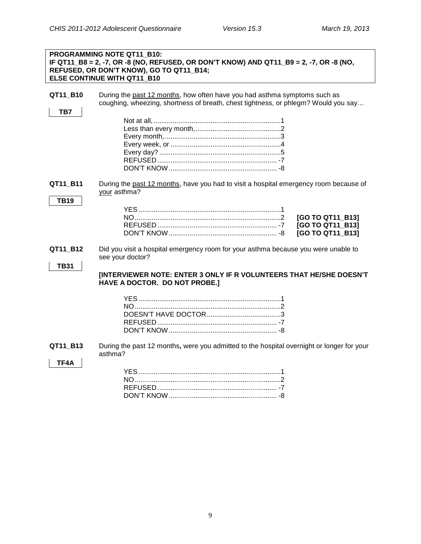|                         | PROGRAMMING NOTE QT11 B10:<br>IF QT11_B8 = 2, -7, OR -8 (NO, REFUSED, OR DON'T KNOW) AND QT11_B9 = 2, -7, OR -8 (NO,<br>REFUSED, OR DON'T KNOW), GO TO QT11_B14;<br>ELSE CONTINUE WITH QT11 B10                |
|-------------------------|----------------------------------------------------------------------------------------------------------------------------------------------------------------------------------------------------------------|
| QT11_B10<br>TB7         | During the past 12 months, how often have you had asthma symptoms such as<br>coughing, wheezing, shortness of breath, chest tightness, or phlegm? Would you say                                                |
| QT11_B11<br><b>TB19</b> | During the past 12 months, have you had to visit a hospital emergency room because of<br>your asthma?<br>[GO TO QT11_B13]<br>[GO TO QT11_B13]<br>[GO TO QT11_B13]                                              |
| QT11_B12<br><b>TB31</b> | Did you visit a hospital emergency room for your asthma because you were unable to<br>see your doctor?<br>[INTERVIEWER NOTE: ENTER 3 ONLY IF R VOLUNTEERS THAT HE/SHE DOESN'T<br>HAVE A DOCTOR. DO NOT PROBE.] |
| QT11_B13<br>TF4A        | During the past 12 months, were you admitted to the hospital overnight or longer for your<br>asthma?                                                                                                           |

DON'T KNOW......................................................... -8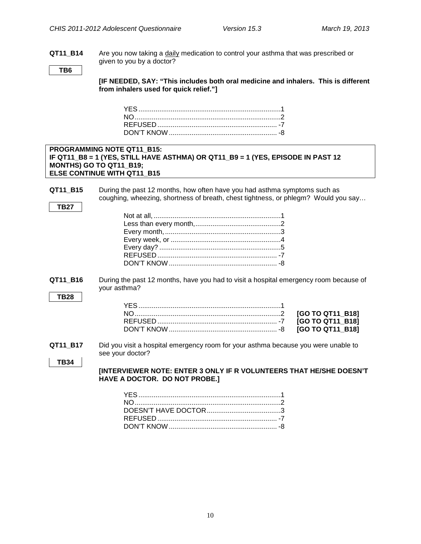**QT11\_B14** Are you now taking a daily medication to control your asthma that was prescribed or given to you by a doctor?

**TB6**

**[IF NEEDED, SAY: "This includes both oral medicine and inhalers. This is different from inhalers used for quick relief."]**

#### **PROGRAMMING NOTE QT11\_B15: IF QT11\_B8 = 1 (YES, STILL HAVE ASTHMA) OR QT11\_B9 = 1 (YES, EPISODE IN PAST 12 MONTHS) GO TO QT11\_B19; ELSE CONTINUE WITH QT11\_B15**

**QT11 B15** During the past 12 months, how often have you had asthma symptoms such as coughing, wheezing, shortness of breath, chest tightness, or phlegm? Would you say…

|--|

**QT11\_B16** During the past 12 months, have you had to visit a hospital emergency room because of your asthma?

**QT11\_B17** Did you visit a hospital emergency room for your asthma because you were unable to see your doctor?

```
TB34
```
**[INTERVIEWER NOTE: ENTER 3 ONLY IF R VOLUNTEERS THAT HE/SHE DOESN'T HAVE A DOCTOR. DO NOT PROBE.]**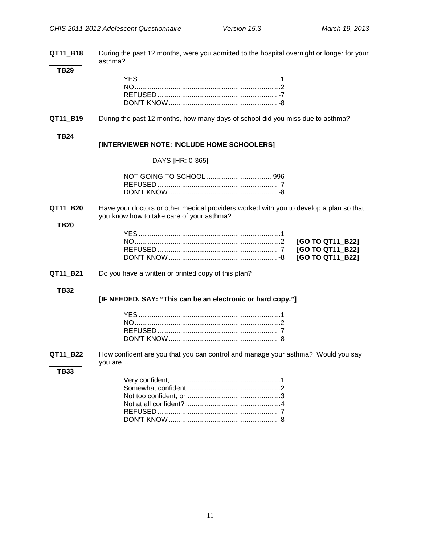**QT11\_B18** During the past 12 months, were you admitted to the hospital overnight or longer for your asthma? **TB29** YES...........................................................................1 NO.............................................................................2 REFUSED ............................................................... -7 DON'T KNOW......................................................... -8 **QT11 B19** During the past 12 months, how many days of school did you miss due to asthma? **TB24 [INTERVIEWER NOTE: INCLUDE HOME SCHOOLERS]** \_\_\_\_\_\_\_ DAYS [HR: 0-365] NOT GOING TO SCHOOL .................................. 996 REFUSED ............................................................... -7 DON'T KNOW ......................................................... -8 **QT11\_B20** Have your doctors or other medical providers worked with you to develop a plan so that you know how to take care of your asthma? **TB20** YES...........................................................................1 NO.............................................................................2 **[GO TO QT11\_B22]** REFUSED ............................................................... -7 **[GO TO QT11\_B22]** DON'T KNOW ......................................................... -8 **[GO TO QT11\_B22] QT11\_B21** Do you have a written or printed copy of this plan? **TB32 [IF NEEDED, SAY: "This can be an electronic or hard copy."]** YES...........................................................................1 NO.............................................................................2 REFUSED ............................................................... -7 DON'T KNOW......................................................... -8 **QT11\_B22** How confident are you that you can control and manage your asthma? Would you say you are… **TB33** Very confident, ..........................................................1 Somewhat confident, ................................................2 Not too confident, or..................................................3 Not at all confident? ..................................................4 REFUSED ............................................................... -7

DON'T KNOW ......................................................... -8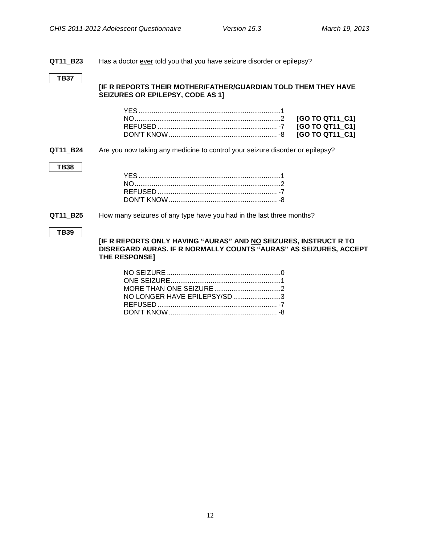#### <span id="page-14-0"></span>**QT11\_B23** Has a doctor ever told you that you have seizure disorder or epilepsy?

#### **TB37**

#### **[IF R REPORTS THEIR MOTHER/FATHER/GUARDIAN TOLD THEM THEY HAVE SEIZURES OR EPILEPSY, CODE AS 1]**

#### **QT11\_B24** Are you now taking any medicine to control your seizure disorder or epilepsy?

#### **TB38**

#### **QT11\_B25** How many seizures of any type have you had in the last three months?

#### **TB39**

**[IF R REPORTS ONLY HAVING "AURAS" AND NO SEIZURES, INSTRUCT R TO DISREGARD AURAS. IF R NORMALLY COUNTS "AURAS" AS SEIZURES, ACCEPT THE RESPONSE]**

| NO LONGER HAVE EPILEPSY/SD 3 |  |
|------------------------------|--|
|                              |  |
|                              |  |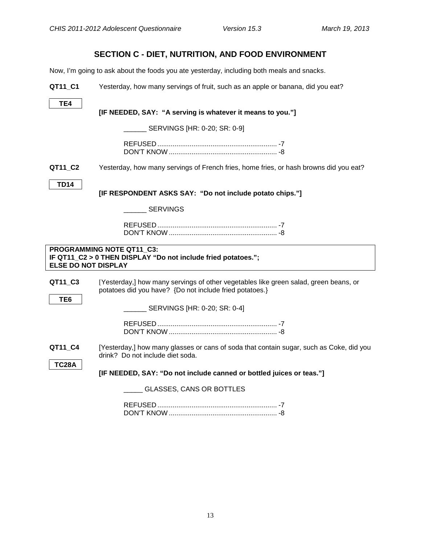### **SECTION C - DIET, NUTRITION, AND FOOD ENVIRONMENT**

<span id="page-15-1"></span><span id="page-15-0"></span>Now, I'm going to ask about the foods you ate yesterday, including both meals and snacks.

| QT11_C1                    | Yesterday, how many servings of fruit, such as an apple or banana, did you eat?                                                                 |
|----------------------------|-------------------------------------------------------------------------------------------------------------------------------------------------|
| TE4                        | [IF NEEDED, SAY: "A serving is whatever it means to you."]                                                                                      |
|                            | SERVINGS [HR: 0-20; SR: 0-9]                                                                                                                    |
|                            |                                                                                                                                                 |
| QT11_C2                    | Yesterday, how many servings of French fries, home fries, or hash browns did you eat?                                                           |
| <b>TD14</b>                | [IF RESPONDENT ASKS SAY: "Do not include potato chips."]                                                                                        |
|                            | <b>SERVINGS</b>                                                                                                                                 |
|                            |                                                                                                                                                 |
| <b>ELSE DO NOT DISPLAY</b> | <b>PROGRAMMING NOTE QT11_C3:</b><br>IF QT11_C2 > 0 THEN DISPLAY "Do not include fried potatoes.";                                               |
| QT11_C3                    |                                                                                                                                                 |
|                            | [Yesterday,] how many servings of other vegetables like green salad, green beans, or<br>potatoes did you have? {Do not include fried potatoes.} |
| TE6                        | SERVINGS [HR: 0-20; SR: 0-4]                                                                                                                    |
|                            |                                                                                                                                                 |
| QT11_C4                    | [Yesterday,] how many glasses or cans of soda that contain sugar, such as Coke, did you<br>drink? Do not include diet soda.                     |
| <b>TC28A</b>               | [IF NEEDED, SAY: "Do not include canned or bottled juices or teas."]                                                                            |
|                            | <b>GLASSES, CANS OR BOTTLES</b>                                                                                                                 |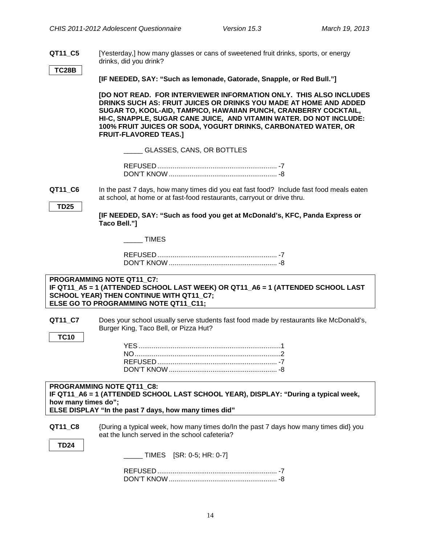**QT11\_C5** [Yesterday,] how many glasses or cans of sweetened fruit drinks, sports, or energy drinks, did you drink?

**TC28B**

**[IF NEEDED, SAY: "Such as lemonade, Gatorade, Snapple, or Red Bull."]**

**[DO NOT READ. FOR INTERVIEWER INFORMATION ONLY. THIS ALSO INCLUDES DRINKS SUCH AS: FRUIT JUICES OR DRINKS YOU MADE AT HOME AND ADDED SUGAR TO, KOOL-AID, TAMPICO, HAWAIIAN PUNCH, CRANBERRY COCKTAIL, HI-C, SNAPPLE, SUGAR CANE JUICE, AND VITAMIN WATER. DO NOT INCLUDE: 100% FRUIT JUICES OR SODA, YOGURT DRINKS, CARBONATED WATER, OR FRUIT-FLAVORED TEAS.]**

\_\_\_\_\_ GLASSES, CANS, OR BOTTLES

<span id="page-16-0"></span>**QT11 C6** In the past 7 days, how many times did you eat fast food? Include fast food meals eaten at school, at home or at fast-food restaurants, carryout or drive thru.

<span id="page-16-1"></span>**Food Environment**

**[IF NEEDED, SAY: "Such as food you get at McDonald's, KFC, Panda Express or Taco Bell."]**

\_\_\_\_\_ TIMES

#### **PROGRAMMING NOTE QT11\_C7: IF QT11\_A5 = 1 (ATTENDED SCHOOL LAST WEEK) OR QT11\_A6 = 1 (ATTENDED SCHOOL LAST SCHOOL YEAR) THEN CONTINUE WITH QT11\_C7; ELSE GO TO PROGRAMMING NOTE QT11\_C11;**

**QT11\_C7** Does your school usually serve students fast food made by restaurants like McDonald's, Burger King, Taco Bell, or Pizza Hut?

#### **PROGRAMMING NOTE QT11\_C8: IF QT11\_A6 = 1 (ATTENDED SCHOOL LAST SCHOOL YEAR), DISPLAY: "During a typical week, how many times do"; ELSE DISPLAY "In the past 7 days, how many times did"**

**QT11\_C8** {During a typical week, how many times do/In the past 7 days how many times did} you eat the lunch served in the school cafeteria?

**TD24**

**TC10**

\_\_\_\_\_ TIMES [SR: 0-5; HR: 0-7]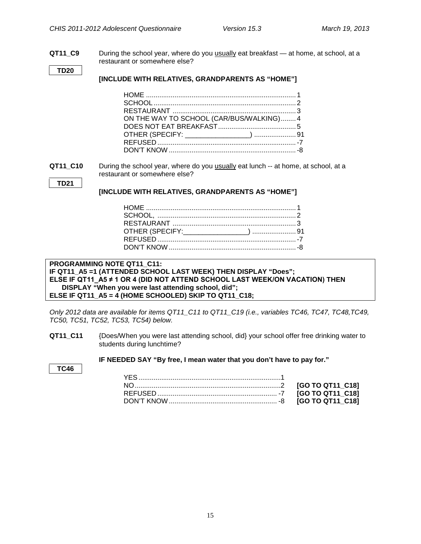<span id="page-17-0"></span>**Water Availability and Consumption**

**QT11\_C9** During the school year, where do you usually eat breakfast — at home, at school, at a restaurant or somewhere else?

**TD20**

#### **[INCLUDE WITH RELATIVES, GRANDPARENTS AS "HOME"]**

| ON THE WAY TO SCHOOL (CAR/BUS/WALKING) 4 |  |
|------------------------------------------|--|
|                                          |  |
|                                          |  |
|                                          |  |
|                                          |  |

**QT11\_C10** During the school year, where do you usually eat lunch -- at home, at school, at a restaurant or somewhere else?

```
TD21
```
#### **[INCLUDE WITH RELATIVES, GRANDPARENTS AS "HOME"]**

#### PROGRAMMING NOTE QT11\_C11: **IF QT11\_A5 =1 (ATTENDED SCHOOL LAST WEEK) THEN DISPLAY "Does"; ELSE IF QT11\_A5 ≠ 1 OR 4 (DID NOT ATTEND SCHOOL LAST WEEK/ON VACATION) THEN DISPLAY "When you were last attending school, did"; ELSE IF QT11\_A5 = 4 (HOME SCHOOLED) SKIP TO QT11\_C18;**

*Only 2012 data are available for items QT11\_C11 to QT11\_C19 (i.e., variables TC46, TC47, TC48,TC49, TC50, TC51, TC52, TC53, TC54) below.*

**QT11\_C11** {Does/When you were last attending school, did} your school offer free drinking water to students during lunchtime?

**IF NEEDED SAY "By free, I mean water that you don't have to pay for."**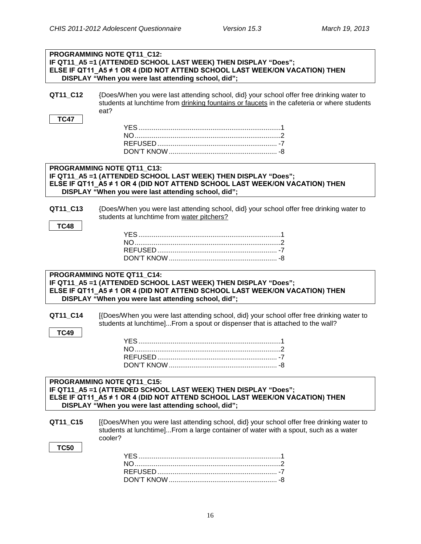|             | PROGRAMMING NOTE QT11_C12:<br>IF QT11_A5 =1 (ATTENDED SCHOOL LAST WEEK) THEN DISPLAY "Does";<br>ELSE IF QT11_A5 ≠ 1 OR 4 (DID NOT ATTEND SCHOOL LAST WEEK/ON VACATION) THEN<br>DISPLAY "When you were last attending school, did"; |
|-------------|------------------------------------------------------------------------------------------------------------------------------------------------------------------------------------------------------------------------------------|
| QT11_C12    | {Does/When you were last attending school, did} your school offer free drinking water to<br>students at lunchtime from drinking fountains or faucets in the cafeteria or where students<br>eat?                                    |
| <b>TC47</b> |                                                                                                                                                                                                                                    |
|             | PROGRAMMING NOTE QT11 C13:<br>IF QT11_A5 =1 (ATTENDED SCHOOL LAST WEEK) THEN DISPLAY "Does";<br>ELSE IF QT11_A5 ≠ 1 OR 4 (DID NOT ATTEND SCHOOL LAST WEEK/ON VACATION) THEN<br>DISPLAY "When you were last attending school, did"; |
| QT11_C13    | {Does/When you were last attending school, did} your school offer free drinking water to<br>students at lunchtime from water pitchers?                                                                                             |
| <b>TC48</b> |                                                                                                                                                                                                                                    |
|             | PROGRAMMING NOTE QT11 C14:<br>IF QT11_A5 =1 (ATTENDED SCHOOL LAST WEEK) THEN DISPLAY "Does";<br>ELSE IF QT11_A5 ≠ 1 OR 4 (DID NOT ATTEND SCHOOL LAST WEEK/ON VACATION) THEN<br>DISPLAY "When you were last attending school, did"; |
| QT11_C14    | [{Does/When you were last attending school, did} your school offer free drinking water to<br>students at lunchtime]From a spout or dispenser that is attached to the wall?                                                         |
| <b>TC49</b> |                                                                                                                                                                                                                                    |
|             | REFUSED.                                                                                                                                                                                                                           |
|             | PROGRAMMING NOTE QT11_C15:<br>IF QT11_A5 =1 (ATTENDED SCHOOL LAST WEEK) THEN DISPLAY "Does";<br>ELSE IF QT11_A5 ≠ 1 OR 4 (DID NOT ATTEND SCHOOL LAST WEEK/ON VACATION) THEN<br>DISPLAY "When you were last attending school, did"; |
| QT11_C15    | [{Does/When you were last attending school, did} your school offer free drinking water to<br>students at lunchtime]From a large container of water with a spout, such as a water<br>cooler?                                        |
| <b>TC50</b> |                                                                                                                                                                                                                                    |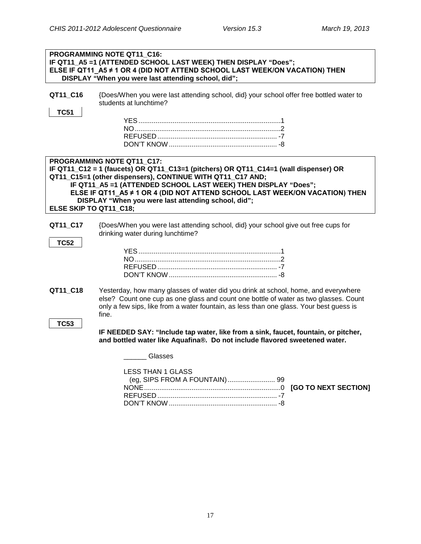| PROGRAMMING NOTE QT11_C16:<br>IF QT11_A5 =1 (ATTENDED SCHOOL LAST WEEK) THEN DISPLAY "Does"; |                                                                                                                                                                                                                                                                                                                                                                                          |
|----------------------------------------------------------------------------------------------|------------------------------------------------------------------------------------------------------------------------------------------------------------------------------------------------------------------------------------------------------------------------------------------------------------------------------------------------------------------------------------------|
|                                                                                              | ELSE IF QT11_A5 ≠ 1 OR 4 (DID NOT ATTEND SCHOOL LAST WEEK/ON VACATION) THEN<br>DISPLAY "When you were last attending school, did";                                                                                                                                                                                                                                                       |
| QT11_C16<br><b>TC51</b>                                                                      | {Does/When you were last attending school, did} your school offer free bottled water to<br>students at lunchtime?                                                                                                                                                                                                                                                                        |
|                                                                                              |                                                                                                                                                                                                                                                                                                                                                                                          |
| ELSE SKIP TO QT11_C18;                                                                       | PROGRAMMING NOTE QT11_C17:<br>IF QT11_C12 = 1 (faucets) OR QT11_C13=1 (pitchers) OR QT11_C14=1 (wall dispenser) OR<br>QT11_C15=1 (other dispensers), CONTINUE WITH QT11_C17 AND;<br>IF QT11_A5 =1 (ATTENDED SCHOOL LAST WEEK) THEN DISPLAY "Does";<br>ELSE IF QT11_A5 ≠ 1 OR 4 (DID NOT ATTEND SCHOOL LAST WEEK/ON VACATION) THEN<br>DISPLAY "When you were last attending school, did"; |
| QT11_C17<br><b>TC52</b>                                                                      | {Does/When you were last attending school, did} your school give out free cups for<br>drinking water during lunchtime?                                                                                                                                                                                                                                                                   |
| QT11_C18<br><b>TC53</b>                                                                      | Yesterday, how many glasses of water did you drink at school, home, and everywhere<br>else? Count one cup as one glass and count one bottle of water as two glasses. Count<br>only a few sips, like from a water fountain, as less than one glass. Your best guess is<br>fine.                                                                                                           |
|                                                                                              | IF NEEDED SAY: "Include tap water, like from a sink, faucet, fountain, or pitcher,<br>and bottled water like Aquafina®. Do not include flavored sweetened water.                                                                                                                                                                                                                         |
|                                                                                              | Glasses                                                                                                                                                                                                                                                                                                                                                                                  |
|                                                                                              | <b>LESS THAN 1 GLASS</b>                                                                                                                                                                                                                                                                                                                                                                 |

DON'T KNOW......................................................... -8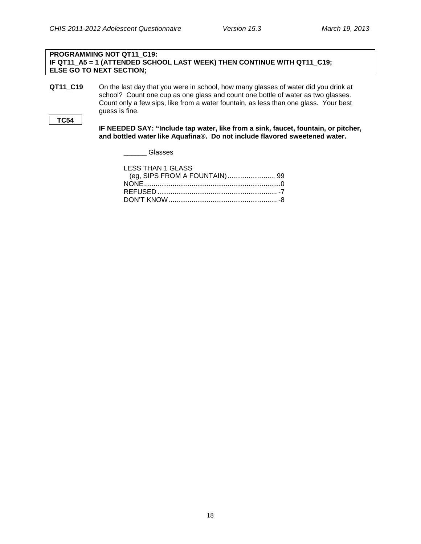#### **PROGRAMMING NOT QT11\_C19: IF QT11\_A5 = 1 (ATTENDED SCHOOL LAST WEEK) THEN CONTINUE WITH QT11\_C19; ELSE GO TO NEXT SECTION;**

**QT11\_C19** On the last day that you were in school, how many glasses of water did you drink at school? Count one cup as one glass and count one bottle of water as two glasses. Count only a few sips, like from a water fountain, as less than one glass. Your best guess is fine.

```
TC54
```
**IF NEEDED SAY: "Include tap water, like from a sink, faucet, fountain, or pitcher, and bottled water like Aquafina®. Do not include flavored sweetened water.** 

\_\_\_\_\_\_ Glasses

| <b>LESS THAN 1 GLASS</b> |  |
|--------------------------|--|
|                          |  |
|                          |  |
|                          |  |
|                          |  |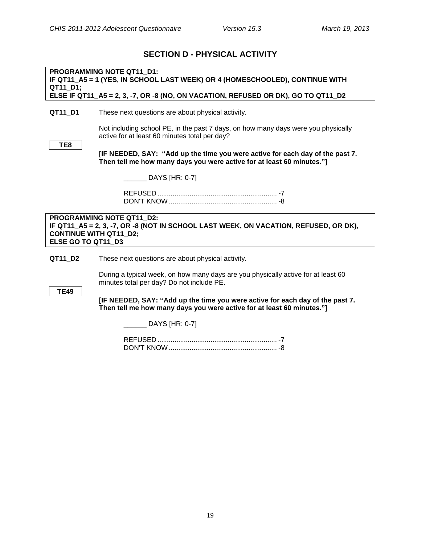### **SECTION D - PHYSICAL ACTIVITY**

<span id="page-21-1"></span><span id="page-21-0"></span>**PROGRAMMING NOTE QT11\_D1: IF QT11\_A5 = 1 (YES, IN SCHOOL LAST WEEK) OR 4 (HOMESCHOOLED), CONTINUE WITH QT11\_D1; ELSE IF QT11\_A5 = 2, 3, -7, OR -8 (NO, ON VACATION, REFUSED OR DK), GO TO QT11\_D2**

#### **QT11\_D1** These next questions are about physical activity.

Not including school PE, in the past 7 days, on how many days were you physically active for at least 60 minutes total per day?

**[IF NEEDED, SAY: "Add up the time you were active for each day of the past 7. Then tell me how many days you were active for at least 60 minutes."]**

DAYS [HR: 0-7]

REFUSED ............................................................... -7 DON'T KNOW ......................................................... -8

**PROGRAMMING NOTE QT11\_D2: IF QT11\_A5 = 2, 3, -7, OR -8 (NOT IN SCHOOL LAST WEEK, ON VACATION, REFUSED, OR DK), CONTINUE WITH QT11\_D2; ELSE GO TO QT11\_D3**

**QT11\_D2** These next questions are about physical activity.

During a typical week, on how many days are you physically active for at least 60 minutes total per day? Do not include PE.

**TE49**

**[IF NEEDED, SAY: "Add up the time you were active for each day of the past 7. Then tell me how many days you were active for at least 60 minutes."]**

\_\_\_\_\_\_ DAYS [HR: 0-7]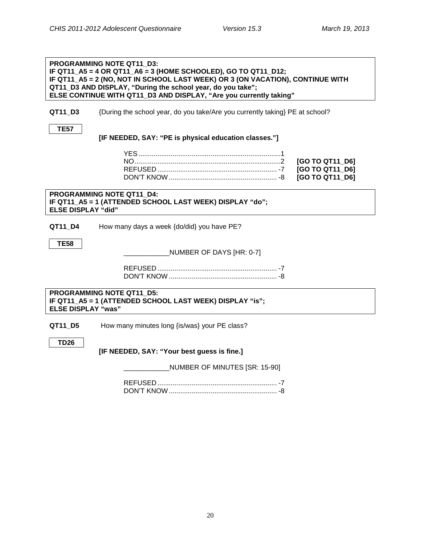<span id="page-22-0"></span>**Physical Education**

| <b>PROGRAMMING NOTE QT11 D3:</b><br>IF QT11_A5 = 4 OR QT11_A6 = 3 (HOME SCHOOLED), GO TO QT11_D12;<br>IF QT11_A5 = 2 (NO, NOT IN SCHOOL LAST WEEK) OR 3 (ON VACATION), CONTINUE WITH<br>QT11_D3 AND DISPLAY, "During the school year, do you take";<br>ELSE CONTINUE WITH QT11_D3 AND DISPLAY, "Are you currently taking" |                                                                                              |
|---------------------------------------------------------------------------------------------------------------------------------------------------------------------------------------------------------------------------------------------------------------------------------------------------------------------------|----------------------------------------------------------------------------------------------|
| QT11_D3                                                                                                                                                                                                                                                                                                                   | {During the school year, do you take/Are you currently taking} PE at school?                 |
| <b>TE57</b>                                                                                                                                                                                                                                                                                                               | [IF NEEDED, SAY: "PE is physical education classes."]                                        |
|                                                                                                                                                                                                                                                                                                                           | [GO TO QT11_D6]<br>[GO TO QT11_D6]<br>[GO TO QT11 D6]                                        |
| <b>ELSE DISPLAY "did"</b>                                                                                                                                                                                                                                                                                                 | PROGRAMMING NOTE QT11 D4:<br>IF QT11_A5 = 1 (ATTENDED SCHOOL LAST WEEK) DISPLAY "do";        |
| QT11_D4                                                                                                                                                                                                                                                                                                                   | How many days a week {do/did} you have PE?                                                   |
| <b>TE58</b>                                                                                                                                                                                                                                                                                                               | NUMBER OF DAYS [HR: 0-7]                                                                     |
|                                                                                                                                                                                                                                                                                                                           |                                                                                              |
| <b>ELSE DISPLAY "was"</b>                                                                                                                                                                                                                                                                                                 | <b>PROGRAMMING NOTE QT11 D5:</b><br>IF QT11_A5 = 1 (ATTENDED SCHOOL LAST WEEK) DISPLAY "is"; |
| QT11_D5                                                                                                                                                                                                                                                                                                                   | How many minutes long {is/was} your PE class?                                                |
| TD26                                                                                                                                                                                                                                                                                                                      | [IF NEEDED, SAY: "Your best guess is fine.]                                                  |
|                                                                                                                                                                                                                                                                                                                           | NUMBER OF MINUTES [SR: 15-90]                                                                |
|                                                                                                                                                                                                                                                                                                                           |                                                                                              |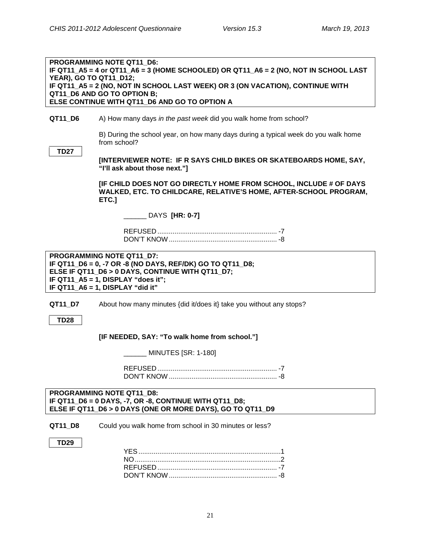<span id="page-23-0"></span>**Commute from School to Home**

#### **PROGRAMMING NOTE QT11\_D6: IF QT11\_A5 = 4 or QT11\_A6 = 3 (HOME SCHOOLED) OR QT11\_A6 = 2 (NO, NOT IN SCHOOL LAST YEAR), GO TO QT11\_D12; IF QT11\_A5 = 2 (NO, NOT IN SCHOOL LAST WEEK) OR 3 (ON VACATION), CONTINUE WITH QT11\_D6 AND GO TO OPTION B; ELSE CONTINUE WITH QT11\_D6 AND GO TO OPTION A**

#### **QT11 D6** A) How many days *in the past week* did you walk home from school?

B) During the school year, on how many days during a typical week do you walk home from school?

**TD27**

**[INTERVIEWER NOTE: IF R SAYS CHILD BIKES OR SKATEBOARDS HOME, SAY, "I'll ask about those next."]**

**[IF CHILD DOES NOT GO DIRECTLY HOME FROM SCHOOL, INCLUDE # OF DAYS WALKED, ETC. TO CHILDCARE, RELATIVE'S HOME, AFTER-SCHOOL PROGRAM, ETC.]**

\_\_\_\_\_\_ DAYS **[HR: 0-7]**

REFUSED ............................................................... -7 DON'T KNOW......................................................... -8

**PROGRAMMING NOTE QT11\_D7: IF QT11\_D6 = 0, -7 OR -8 (NO DAYS, REF/DK) GO TO QT11\_D8; ELSE IF QT11\_D6 > 0 DAYS, CONTINUE WITH QT11\_D7; IF QT11\_A5 = 1, DISPLAY "does it"; IF QT11\_A6 = 1, DISPLAY "did it"**

**QT11\_D7** About how many minutes {did it/does it} take you without any stops?

**TD28**

**[IF NEEDED, SAY: "To walk home from school."]**

\_\_\_\_\_\_ MINUTES [SR: 1-180]

REFUSED ............................................................... -7 DON'T KNOW ......................................................... -8

#### **PROGRAMMING NOTE QT11\_D8: IF QT11\_D6 = 0 DAYS, -7, OR -8, CONTINUE WITH QT11\_D8; ELSE IF QT11\_D6 > 0 DAYS (ONE OR MORE DAYS), GO TO QT11\_D9**

**QT11 D8** Could you walk home from school in 30 minutes or less?

**TD29**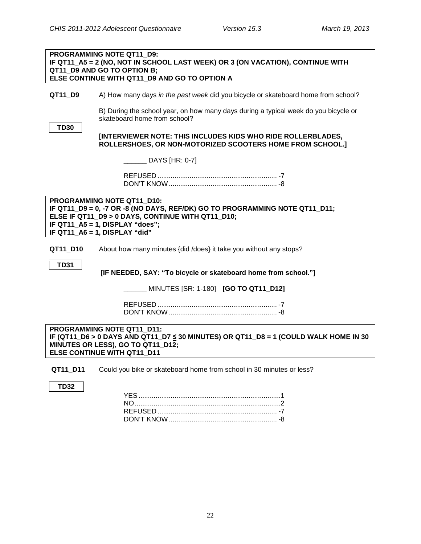|             | PROGRAMMING NOTE QT11 D9:<br>IF QT11_A5 = 2 (NO, NOT IN SCHOOL LAST WEEK) OR 3 (ON VACATION), CONTINUE WITH                                                                                                                        |
|-------------|------------------------------------------------------------------------------------------------------------------------------------------------------------------------------------------------------------------------------------|
|             | QT11 D9 AND GO TO OPTION B;<br>ELSE CONTINUE WITH QT11_D9 AND GO TO OPTION A                                                                                                                                                       |
| QT11_D9     | A) How many days in the past week did you bicycle or skateboard home from school?                                                                                                                                                  |
|             | B) During the school year, on how many days during a typical week do you bicycle or<br>skateboard home from school?                                                                                                                |
| <b>TD30</b> | [INTERVIEWER NOTE: THIS INCLUDES KIDS WHO RIDE ROLLERBLADES,<br>ROLLERSHOES, OR NON-MOTORIZED SCOOTERS HOME FROM SCHOOL.]                                                                                                          |
|             | _ DAYS [HR: 0-7]                                                                                                                                                                                                                   |
|             |                                                                                                                                                                                                                                    |
|             | PROGRAMMING NOTE QT11 D10:<br>IF QT11_D9 = 0, -7 OR -8 (NO DAYS, REF/DK) GO TO PROGRAMMING NOTE QT11_D11;<br>ELSE IF QT11_D9 > 0 DAYS, CONTINUE WITH QT11_D10;<br>IF QT11_A5 = 1, DISPLAY "does";<br>IF QT11_A6 = 1, DISPLAY "did" |
| QT11_D10    | About how many minutes {did /does} it take you without any stops?                                                                                                                                                                  |
| <b>TD31</b> | [IF NEEDED, SAY: "To bicycle or skateboard home from school."]                                                                                                                                                                     |
|             | MINUTES [SR: 1-180] <b>[GO TO QT11_D12]</b>                                                                                                                                                                                        |
|             |                                                                                                                                                                                                                                    |
|             | PROGRAMMING NOTE QT11 D11:<br>IF (QT11_D6 > 0 DAYS AND QT11_D7 ≤ 30 MINUTES) OR QT11_D8 = 1 (COULD WALK HOME IN 30<br>MINUTES OR LESS), GO TO QT11_D12;<br>ELSE CONTINUE WITH QT11_D11                                             |
| QT11_D11    | Could you bike or skateboard home from school in 30 minutes or less?                                                                                                                                                               |
| <b>TD32</b> |                                                                                                                                                                                                                                    |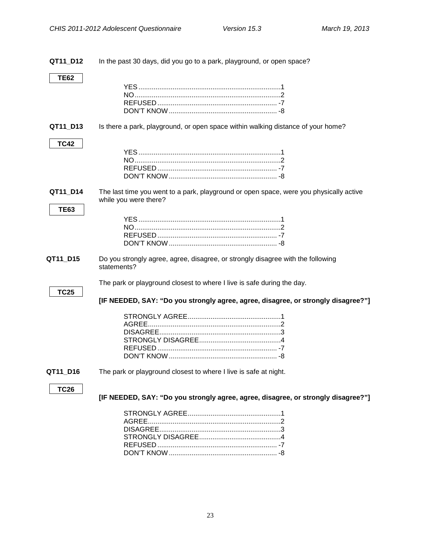<span id="page-25-1"></span><span id="page-25-0"></span>**QT11\_D12** In the past 30 days, did you go to a park, playground, or open space? **TE62** YES...........................................................................1 NO.............................................................................2 REFUSED ............................................................... -7 DON'T KNOW......................................................... -8 **QT11 D13** Is there a park, playground, or open space within walking distance of your home? **TC42** YES...........................................................................1 NO.............................................................................2 REFUSED ............................................................... -7 DON'T KNOW......................................................... -8 **QT11 D14** The last time you went to a park, playground or open space, were you physically active while you were there? **TE63** YES...........................................................................1 NO.............................................................................2 REFUSED ............................................................... -7 DON'T KNOW......................................................... -8 **QT11 D15** Do you strongly agree, agree, disagree, or strongly disagree with the following statements? The park or playground closest to where I live is safe during the day. **TC25 [IF NEEDED, SAY: "Do you strongly agree, agree, disagree, or strongly disagree?"]** STRONGLY AGREE.................................................1 AGREE......................................................................2 DISAGREE................................................................3 STRONGLY DISAGREE...........................................4 REFUSED ............................................................... -7 DON'T KNOW......................................................... -8 **QT11 D16** The park or playground closest to where I live is safe at night. **TC26 [IF NEEDED, SAY: "Do you strongly agree, agree, disagree, or strongly disagree?"]** STRONGLY AGREE.................................................1 AGREE......................................................................2 DISAGREE................................................................3 STRONGLY DISAGREE...........................................4 REFUSED ............................................................... -7

DON'T KNOW......................................................... -8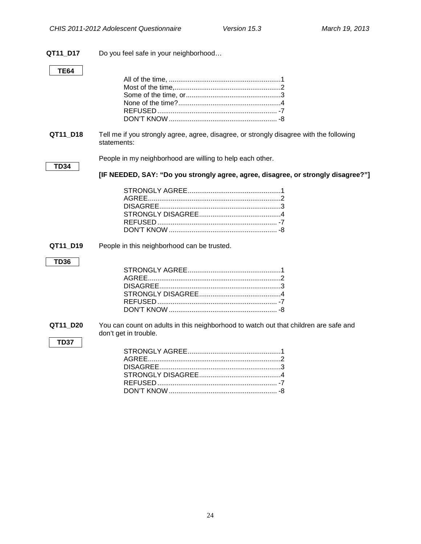**QT11\_D17** Do you feel safe in your neighborhood…

### **TE64**

<span id="page-26-0"></span>

| QT11_D18                | Tell me if you strongly agree, agree, disagree, or strongly disagree with the following<br>statements:        |
|-------------------------|---------------------------------------------------------------------------------------------------------------|
| <b>TD34</b>             | People in my neighborhood are willing to help each other.                                                     |
|                         | [IF NEEDED, SAY: "Do you strongly agree, agree, disagree, or strongly disagree?"]                             |
|                         |                                                                                                               |
| QT11_D19                | People in this neighborhood can be trusted.                                                                   |
| <b>TD36</b>             |                                                                                                               |
|                         |                                                                                                               |
| QT11_D20<br><b>TD37</b> | You can count on adults in this neighborhood to watch out that children are safe and<br>don't get in trouble. |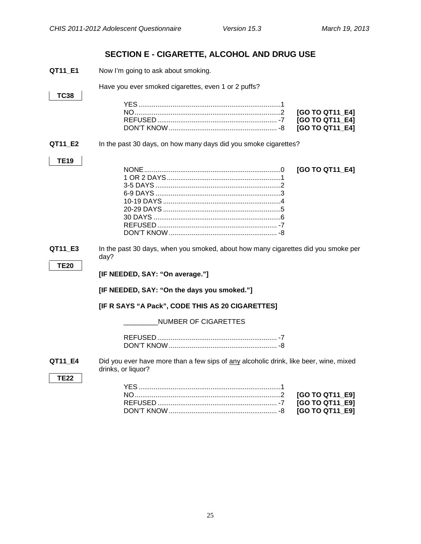### **SECTION E - CIGARETTE, ALCOHOL AND DRUG USE**

<span id="page-27-1"></span><span id="page-27-0"></span>

| QT11_E1                | Now I'm going to ask about smoking.                                                                         |                                                       |
|------------------------|-------------------------------------------------------------------------------------------------------------|-------------------------------------------------------|
|                        | Have you ever smoked cigarettes, even 1 or 2 puffs?                                                         |                                                       |
| <b>TC38</b>            |                                                                                                             | [GO TO QT11_E4]<br>[GO TO QT11_E4]<br>[GO TO QT11_E4] |
| QT11_E2                | In the past 30 days, on how many days did you smoke cigarettes?                                             |                                                       |
| <b>TE19</b>            |                                                                                                             | [GO TO QT11_E4]                                       |
| QT11_E3                | In the past 30 days, when you smoked, about how many cigarettes did you smoke per<br>day?                   |                                                       |
| <b>TE20</b>            | [IF NEEDED, SAY: "On average."]                                                                             |                                                       |
|                        | [IF NEEDED, SAY: "On the days you smoked."]                                                                 |                                                       |
|                        | [IF R SAYS "A Pack", CODE THIS AS 20 CIGARETTES]                                                            |                                                       |
|                        | <b>NUMBER OF CIGARETTES</b>                                                                                 |                                                       |
|                        |                                                                                                             |                                                       |
| QT11_E4<br><b>TE22</b> | Did you ever have more than a few sips of any alcoholic drink, like beer, wine, mixed<br>drinks, or liquor? |                                                       |
|                        |                                                                                                             | [GO TO QT11_E9]<br>[GO TO QT11 E9]                    |

<span id="page-27-2"></span>DON'T KNOW......................................................... -8 **[GO TO QT11\_E9]**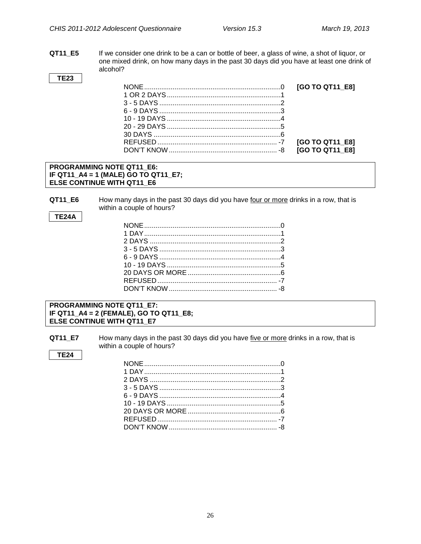**QT11\_E5** If we consider one drink to be a can or bottle of beer, a glass of wine, a shot of liquor, or one mixed drink, on how many days in the past 30 days did you have at least one drink of alcohol?

|  | [GO TO QT11 E8]        |
|--|------------------------|
|  |                        |
|  |                        |
|  |                        |
|  |                        |
|  |                        |
|  |                        |
|  | [GO TO QT11_E8]        |
|  | <b>IGO TO QT11 E81</b> |

#### **PROGRAMMING NOTE QT11\_E6: IF QT11\_A4 = 1 (MALE) GO TO QT11\_E7; ELSE CONTINUE WITH QT11\_E6**

**QT11\_E6** How many days in the past 30 days did you have four or more drinks in a row, that is within a couple of hours?

#### **TE24A**

**TE23**

#### **PROGRAMMING NOTE QT11\_E7: IF QT11\_A4 = 2 (FEMALE), GO TO QT11\_E8; ELSE CONTINUE WITH QT11\_E7**

**QT11\_E7** How many days in the past 30 days did you have five or more drinks in a row, that is within a couple of hours?

#### **TE24**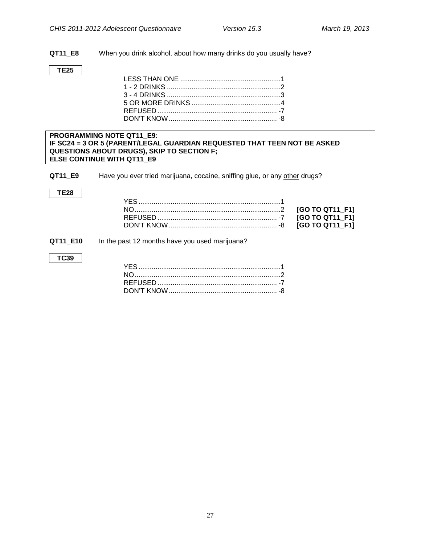**QT11\_E8** When you drink alcohol, about how many drinks do you usually have?

#### **TE25**

<span id="page-29-0"></span>**Drug Use**

#### **PROGRAMMING NOTE QT11\_E9: IF SC24 = 3 OR 5 (PARENT/LEGAL GUARDIAN REQUESTED THAT TEEN NOT BE ASKED QUESTIONS ABOUT DRUGS), SKIP TO SECTION F; ELSE CONTINUE WITH QT11\_E9**

**QT11\_E9** Have you ever tried marijuana, cocaine, sniffing glue, or any other drugs?

#### **TE28**

| <b>IGO TO QT11 F11</b> |
|------------------------|
|                        |

#### **QT11\_E10** In the past 12 months have you used marijuana?

#### **TC39**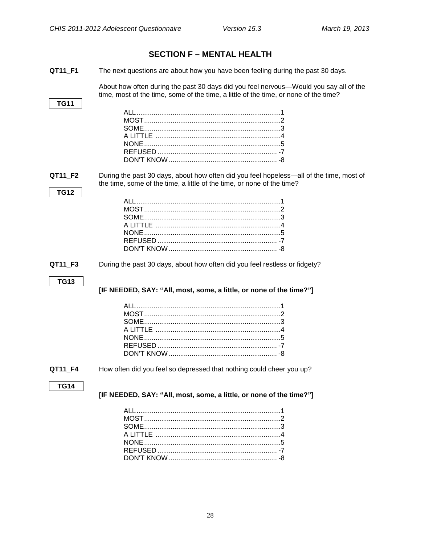<span id="page-30-1"></span><span id="page-30-0"></span>

|                        | <b>SECTION F - MENTAL HEALTH</b>                                                                                                                                              |
|------------------------|-------------------------------------------------------------------------------------------------------------------------------------------------------------------------------|
| QT11_F1                | The next questions are about how you have been feeling during the past 30 days.                                                                                               |
|                        | About how often during the past 30 days did you feel nervous—Would you say all of the<br>time, most of the time, some of the time, a little of the time, or none of the time? |
| <b>TG11</b>            | A LITTLE ……………………………………………………4                                                                                                                                                |
| QT11_F2<br><b>TG12</b> | During the past 30 days, about how often did you feel hopeless—all of the time, most of<br>the time, some of the time, a little of the time, or none of the time?             |
|                        |                                                                                                                                                                               |
| QT11_F3                | During the past 30 days, about how often did you feel restless or fidgety?                                                                                                    |
| <b>TG13</b>            | [IF NEEDED, SAY: "All, most, some, a little, or none of the time?"]                                                                                                           |
|                        | A LITTLE ………………………………………………………4                                                                                                                                               |
| QT11_F4                | How often did you feel so depressed that nothing could cheer you up?                                                                                                          |
| <b>TG14</b>            | [IF NEEDED, SAY: "All, most, some, a little, or none of the time?"]                                                                                                           |
|                        |                                                                                                                                                                               |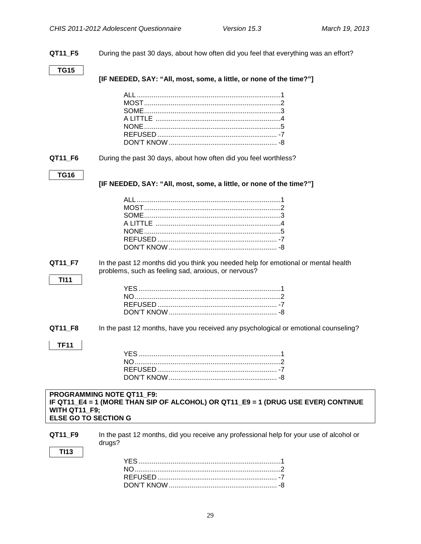<span id="page-31-0"></span>**QT11\_F5** During the past 30 days, about how often did you feel that everything was an effort? **TG15 [IF NEEDED, SAY: "All, most, some, a little, or none of the time?"]** ALL............................................................................1 MOST........................................................................2 SOME........................................................................3 A LITTLE ..................................................................4 NONE........................................................................5 REFUSED ............................................................... -7 DON'T KNOW ......................................................... -8 **QT11\_F6** During the past 30 days, about how often did you feel worthless? **TG16 [IF NEEDED, SAY: "All, most, some, a little, or none of the time?"]** ALL............................................................................1 MOST........................................................................2 SOME........................................................................3 A LITTLE ..................................................................4 NONE........................................................................5 REFUSED ............................................................... -7 DON'T KNOW ......................................................... -8 **QT11\_F7** In the past 12 months did you think you needed help for emotional or mental health problems, such as feeling sad, anxious, or nervous? **TI11** YES...........................................................................1  $N<sub>O</sub>$ REFUSED ............................................................... -7 DON'T KNOW......................................................... -8 **QT11 F8** In the past 12 months, have you received any psychological or emotional counseling? **TF11** YES...........................................................................1 NO.............................................................................2 REFUSED ............................................................... -7 DON'T KNOW......................................................... -8 **PROGRAMMING NOTE QT11\_F9: IF QT11\_E4 = 1 (MORE THAN SIP OF ALCOHOL) OR QT11\_E9 = 1 (DRUG USE EVER) CONTINUE WITH QT11\_F9; ELSE GO TO SECTION G QT11 F9** In the past 12 months, did you receive any professional help for your use of alcohol or drugs? **TI13** YES...........................................................................1 NO.............................................................................2 REFUSED ............................................................... -7 DON'T KNOW......................................................... -8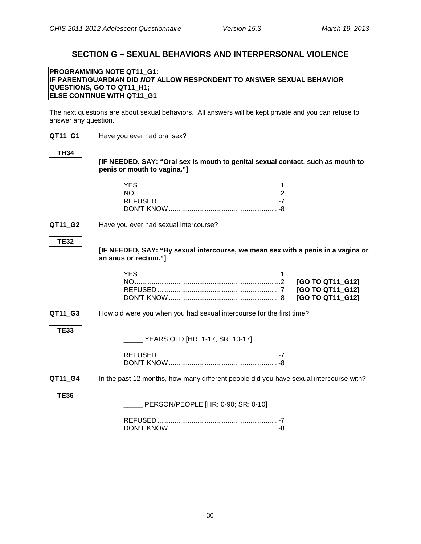### **SECTION G – SEXUAL BEHAVIORS AND INTERPERSONAL VIOLENCE**

#### <span id="page-32-1"></span><span id="page-32-0"></span>**PROGRAMMING NOTE QT11\_G1: IF PARENT/GUARDIAN DID** *NOT* **ALLOW RESPONDENT TO ANSWER SEXUAL BEHAVIOR QUESTIONS, GO TO QT11\_H1; ELSE CONTINUE WITH QT11 G1**

The next questions are about sexual behaviors. All answers will be kept private and you can refuse to answer any question.

**QT11\_G1** Have you ever had oral sex?

#### **TH34**

**[IF NEEDED, SAY: "Oral sex is mouth to genital sexual contact, such as mouth to penis or mouth to vagina."]**

**QT11 G2** Have you ever had sexual intercourse?

#### **TE32**

**[IF NEEDED, SAY: "By sexual intercourse, we mean sex with a penis in a vagina or an anus or rectum."]**

**QT11 G3** How old were you when you had sexual intercourse for the first time?

#### **TE33**

\_\_\_\_\_ YEARS OLD [HR: 1-17; SR: 10-17]

**QT11\_G4** In the past 12 months, how many different people did you have sexual intercourse with?

**TE36**

PERSON/PEOPLE [HR: 0-90; SR: 0-10]

REFUSED ............................................................... -7 DON'T KNOW......................................................... -8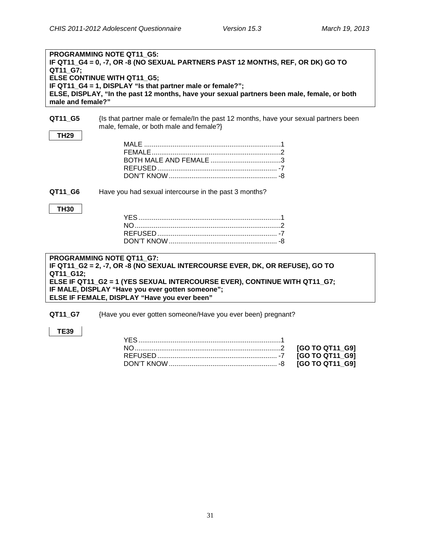| QT11 G7;<br>male and female?" | <b>PROGRAMMING NOTE QT11 G5:</b><br>IF QT11_G4 = 0, -7, OR -8 (NO SEXUAL PARTNERS PAST 12 MONTHS, REF, OR DK) GO TO<br>ELSE CONTINUE WITH QT11_G5;<br>IF QT11_G4 = 1, DISPLAY "Is that partner male or female?";<br>ELSE, DISPLAY, "In the past 12 months, have your sexual partners been male, female, or both |
|-------------------------------|-----------------------------------------------------------------------------------------------------------------------------------------------------------------------------------------------------------------------------------------------------------------------------------------------------------------|
| QT11_G5<br><b>TH29</b>        | {Is that partner male or female/In the past 12 months, have your sexual partners been<br>male, female, or both male and female?}                                                                                                                                                                                |
| QT11 G6<br><b>TH30</b>        | Have you had sexual intercourse in the past 3 months?                                                                                                                                                                                                                                                           |
| QT11_G12;                     | PROGRAMMING NOTE QT11 G7:<br>IF QT11_G2 = 2, -7, OR -8 (NO SEXUAL INTERCOURSE EVER, DK, OR REFUSE), GO TO<br>ELSE IF QT11_G2 = 1 (YES SEXUAL INTERCOURSE EVER), CONTINUE WITH QT11_G7;<br>IF MALE, DISPLAY "Have you ever gotten someone";<br>ELSE IF FEMALE, DISPLAY "Have you ever been"                      |
|                               | <b>ALLEY AT A REPORT OF A REPORT OF A REPORT OF A REPORT OF A REPORT OF A REPORT OF A REPORT OF A REPORT OF A REPORT OF A REPORT OF A REPORT OF A REPORT OF A REPORT OF A REPORT OF A REPORT OF A REPORT OF A REPORT OF A REPOR</b>                                                                             |

<span id="page-33-0"></span>**QT11\_G7** {Have you ever gotten someone/Have you ever been} pregnant?

### **TE39**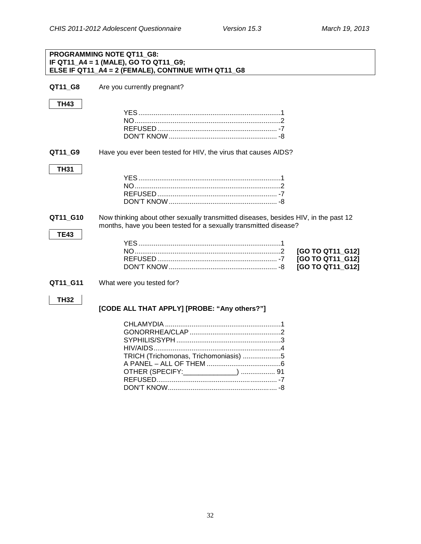### <span id="page-34-0"></span>**PROGRAMMING NOTE QT11\_G8: IF QT11\_A4 = 1 (MALE), GO TO QT11\_G9; ELSE IF QT11\_A4 = 2 (FEMALE), CONTINUE WITH QT11\_G8 QT11 G8** Are you currently pregnant? **TH43** YES...........................................................................1 NO.............................................................................2 REFUSED ............................................................... -7 DON'T KNOW......................................................... -8 **QT11 G9** Have you ever been tested for HIV, the virus that causes AIDS? **TH31** YES...........................................................................1 NO.............................................................................2 REFUSED ............................................................... -7 DON'T KNOW......................................................... -8 **QT11 G10** Now thinking about other sexually transmitted diseases, besides HIV, in the past 12 months, have you been tested for a sexually transmitted disease? **TE43** YES...........................................................................1 NO.............................................................................2 **[GO TO QT11\_G12]** REFUSED ............................................................... -7 **[GO TO QT11\_G12]** DON'T KNOW......................................................... -8 **[GO TO QT11\_G12] QT11 G11** What were you tested for? **TH32 [CODE ALL THAT APPLY] [PROBE: "Any others?"]** CHLAMYDIA .............................................................1 GONORRHEA/CLAP................................................2 SYPHILIS/SYPH .......................................................3 HIV/AIDS...................................................................4 TRICH (Trichomonas, Trichomoniasis) ....................5 A PANEL – ALL OF THEM .......................................6 OTHER (SPECIFY:\_\_\_\_\_\_\_\_\_\_\_\_\_\_) .................. 91

REFUSED............................................................... -7 DON'T KNOW......................................................... -8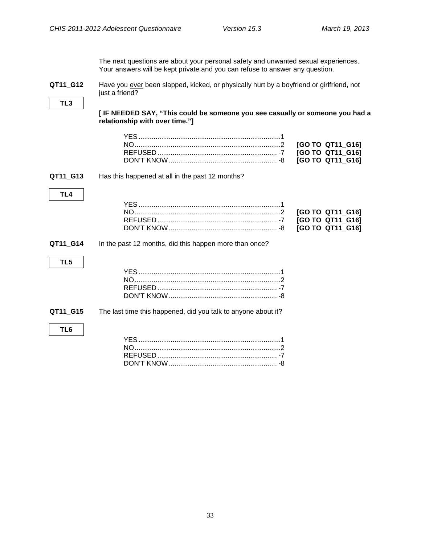The next questions are about your personal safety and unwanted sexual experiences. Your answers will be kept private and you can refuse to answer any question.

<span id="page-35-0"></span>**QT11\_G12** Have you ever been slapped, kicked, or physically hurt by a boyfriend or girlfriend, not just a friend?

**TL3**

**[ IF NEEDED SAY, "This could be someone you see casually or someone you had a relationship with over time."]**

**QT11\_G13** Has this happened at all in the past 12 months?

### **TL4**

**QT11\_G14** In the past 12 months, did this happen more than once?

### **TL5**

**QT11\_G15** The last time this happened, did you talk to anyone about it?

#### **TL6**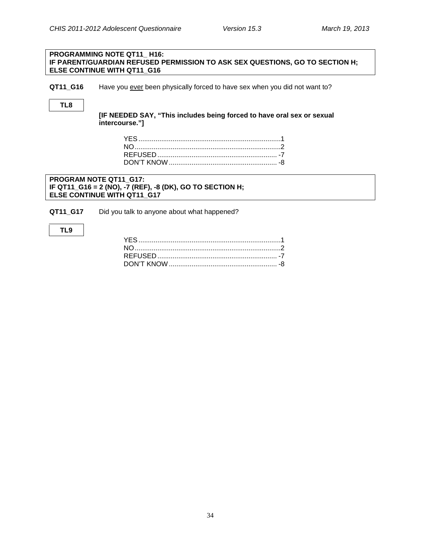#### **PROGRAMMING NOTE QT11\_ H16: IF PARENT/GUARDIAN REFUSED PERMISSION TO ASK SEX QUESTIONS, GO TO SECTION H; ELSE CONTINUE WITH QT11\_G16**

**QT11\_G16** Have you ever been physically forced to have sex when you did not want to?

#### **TL8**

**[IF NEEDED SAY, "This includes being forced to have oral sex or sexual intercourse."]**

#### **PROGRAM NOTE QT11\_G17: IF QT11\_G16 = 2 (NO), -7 (REF), -8 (DK), GO TO SECTION H; ELSE CONTINUE WITH QT11\_G17**

**QT11\_G17** Did you talk to anyone about what happened?

#### **TL9**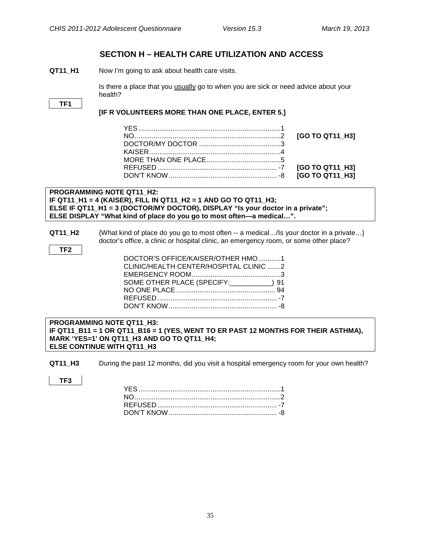### <span id="page-37-0"></span>**SECTION H – HEALTH CARE UTILIZATION AND ACCESS**

<span id="page-37-1"></span>**QT11 H1** Now I'm going to ask about health care visits.

Is there a place that you usually go to when you are sick or need advice about your health?

#### **TF1**

#### **[IF R VOLUNTEERS MORE THAN ONE PLACE, ENTER 5.]**

#### **PROGRAMMING NOTE QT11\_H2: IF QT11\_H1 = 4 (KAISER), FILL IN QT11\_H2 = 1 AND GO TO QT11\_H3; ELSE IF QT11\_H1 = 3 (DOCTOR/MY DOCTOR), DISPLAY "Is your doctor in a private"; ELSE DISPLAY "What kind of place do you go to most often—a medical…".**

**QT11\_H2** {What kind of place do you go to most often -- a medical…/Is your doctor in a private…} doctor's office, a clinic or hospital clinic, an emergency room, or some other place?

|--|

| DOCTOR'S OFFICE/KAISER/OTHER HMO1      |  |
|----------------------------------------|--|
| CLINIC/HEALTH CENTER/HOSPITAL CLINIC 2 |  |
|                                        |  |
| SOME OTHER PLACE (SPECIFY: 191) 91     |  |
|                                        |  |
|                                        |  |
|                                        |  |
|                                        |  |

#### <span id="page-37-2"></span>**Emergency Room Visits PROGRAMMING NOTE QT11\_H3: IF QT11\_B11 = 1 OR QT11\_B16 = 1 (YES, WENT TO ER PAST 12 MONTHS FOR THEIR ASTHMA), MARK 'YES=1' ON QT11\_H3 AND GO TO QT11\_H4; ELSE CONTINUE WITH QT11\_H3**

**QT11 H3** During the past 12 months, did you visit a hospital emergency room for your own health?

**TF3**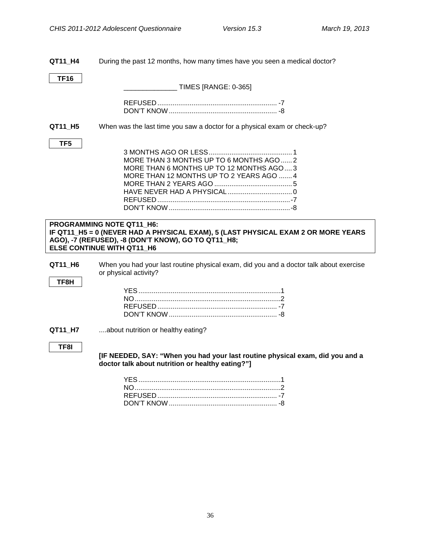<span id="page-38-0"></span>**QT11\_H4** During the past 12 months, how many times have you seen a medical doctor?

**TF16**

\_\_\_\_\_\_\_\_\_\_\_\_\_\_ TIMES [RANGE: 0-365]

**QT11 H5** When was the last time you saw a doctor for a physical exam or check-up?

#### **TF5**

| MORE THAN 3 MONTHS UP TO 6 MONTHS AGO  2  |  |
|-------------------------------------------|--|
| MORE THAN 6 MONTHS UP TO 12 MONTHS AGO, 3 |  |
| MORE THAN 12 MONTHS UP TO 2 YEARS AGO  4  |  |
|                                           |  |
|                                           |  |
|                                           |  |
|                                           |  |

#### **PROGRAMMING NOTE QT11\_H6: IF QT11\_H5 = 0 (NEVER HAD A PHYSICAL EXAM), 5 (LAST PHYSICAL EXAM 2 OR MORE YEARS AGO), -7 (REFUSED), -8 (DON'T KNOW), GO TO QT11\_H8; ELSE CONTINUE WITH QT11\_H6**

**QT11\_H6** When you had your last routine physical exam, did you and a doctor talk about exercise or physical activity?

#### **TF8H**

<span id="page-38-1"></span>**Recall of Provider Advice**

**QT11 H7** ....about nutrition or healthy eating?

#### **TF8I**

**[IF NEEDED, SAY: "When you had your last routine physical exam, did you and a doctor talk about nutrition or healthy eating?"]**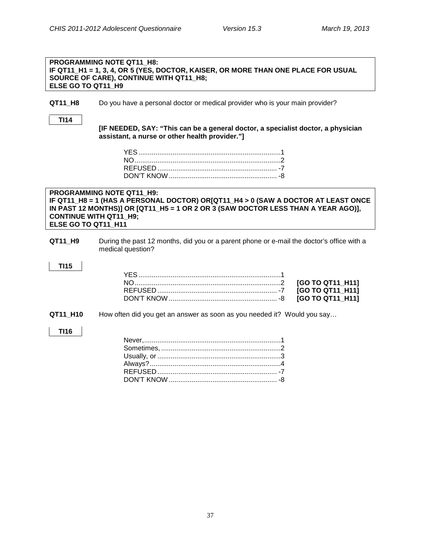#### **PROGRAMMING NOTE QT11\_H8: IF QT11\_H1 = 1, 3, 4, OR 5 (YES, DOCTOR, KAISER, OR MORE THAN ONE PLACE FOR USUAL SOURCE OF CARE), CONTINUE WITH QT11\_H8; ELSE GO TO QT11\_H9**

**QT11 H8** Do you have a personal doctor or medical provider who is your main provider?

**TI14**

<span id="page-39-1"></span>**Patient-Centered Care**

<span id="page-39-0"></span>**Personal Doctor**

**[IF NEEDED, SAY: "This can be a general doctor, a specialist doctor, a physician assistant, a nurse or other health provider."]**

#### **PROGRAMMING NOTE QT11\_H9: IF QT11\_H8 = 1 (HAS A PERSONAL DOCTOR) OR[QT11\_H4 > 0 (SAW A DOCTOR AT LEAST ONCE IN PAST 12 MONTHS)] OR [QT11\_H5 = 1 OR 2 OR 3 (SAW DOCTOR LESS THAN A YEAR AGO)], CONTINUE WITH QT11\_H9; ELSE GO TO QT11\_H11**

**QT11\_H9** During the past 12 months, did you or a parent phone or e-mail the doctor's office with a medical question?

#### **TI15**

**QT11\_H10** How often did you get an answer as soon as you needed it? Would you say…

#### **TI16**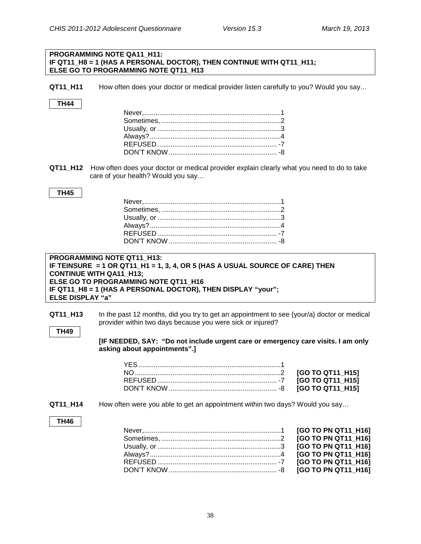#### **PROGRAMMING NOTE QA11\_H11: IF QT11 H8 = 1 (HAS A PERSONAL DOCTOR), THEN CONTINUE WITH QT11 H11; ELSE GO TO PROGRAMMING NOTE QT11\_H13**

**QT11\_H11** How often does your doctor or medical provider listen carefully to you? Would you say…

#### **TH44**

**QT11 H12** How often does your doctor or medical provider explain clearly what you need to do to take care of your health? Would you say…

#### **TH45**

<span id="page-40-0"></span>**Timely Appointments**

#### **PROGRAMMING NOTE QT11\_H13: IF TEINSURE = 1 OR QT11\_H1 = 1, 3, 4, OR 5 (HAS A USUAL SOURCE OF CARE) THEN CONTINUE WITH QA11\_H13; ELSE GO TO PROGRAMMING NOTE QT11\_H16 IF QT11\_H8 = 1 (HAS A PERSONAL DOCTOR), THEN DISPLAY "your"; ELSE DISPLAY "a"**

**QT11\_H13** In the past 12 months, did you try to get an appointment to see {your/a} doctor or medical provider within two days because you were sick or injured?

#### **TH49**

**[IF NEEDED, SAY: "Do not include urgent care or emergency care visits. I am only asking about appointments".]**

#### **QT11\_H14** How often were you able to get an appointment within two days? Would you say…

#### **TH46**

| [GO TO PN QT11 H16] |
|---------------------|
|                     |
| [GO TO PN QT11 H16] |
| [GO TO PN QT11_H16] |
|                     |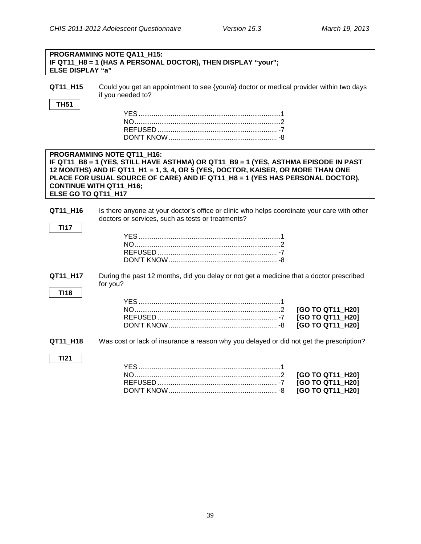| <b>PROGRAMMING NOTE QA11 H15:</b>                            |  |
|--------------------------------------------------------------|--|
| IF QT11_H8 = 1 (HAS A PERSONAL DOCTOR), THEN DISPLAY "your"; |  |
| <b>ELSE DISPLAY "a"</b>                                      |  |

| QT11 H15 | Could you get an appointment to see {your/a} doctor or medical provider within two days |
|----------|-----------------------------------------------------------------------------------------|
|          | if you needed to?                                                                       |

#### **TH51**

#### <span id="page-41-0"></span>**Care Coordination PROGRAMMING NOTE QT11\_H16: IF QT11\_B8 = 1 (YES, STILL HAVE ASTHMA) OR QT11\_B9 = 1 (YES, ASTHMA EPISODE IN PAST 12 MONTHS) AND IF QT11\_H1 = 1, 3, 4, OR 5 (YES, DOCTOR, KAISER, OR MORE THAN ONE PLACE FOR USUAL SOURCE OF CARE) AND IF QT11\_H8 = 1 (YES HAS PERSONAL DOCTOR), CONTINUE WITH QT11\_H16; ELSE GO TO QT11\_H17**

#### **QT11\_H16** Is there anyone at your doctor's office or clinic who helps coordinate your care with other doctors or services, such as tests or treatments?

<span id="page-41-1"></span>**QT11\_H17** During the past 12 months, did you delay or not get a medicine that a doctor prescribed for you?

**TI17**

**QT11\_H18** Was cost or lack of insurance a reason why you delayed or did not get the prescription?

**TI21**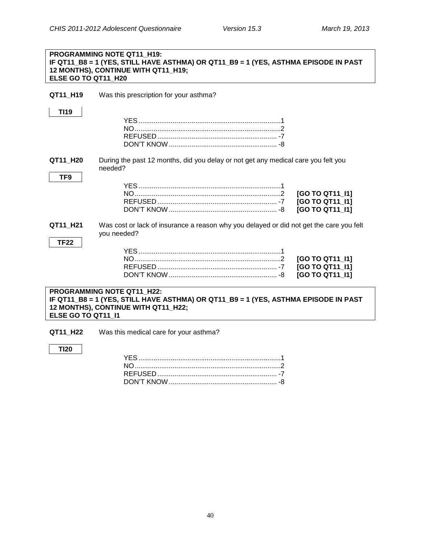#### **PROGRAMMING NOTE QT11\_H19: IF QT11\_B8 = 1 (YES, STILL HAVE ASTHMA) OR QT11\_B9 = 1 (YES, ASTHMA EPISODE IN PAST 12 MONTHS), CONTINUE WITH QT11\_H19; ELSE GO TO QT11\_H20**

| QT11 H19                                                                                                                                                                       | Was this prescription for your asthma?                                                                 |  |
|--------------------------------------------------------------------------------------------------------------------------------------------------------------------------------|--------------------------------------------------------------------------------------------------------|--|
| <b>TI19</b>                                                                                                                                                                    |                                                                                                        |  |
| QT11_H20<br>TF <sub>9</sub>                                                                                                                                                    | During the past 12 months, did you delay or not get any medical care you felt you<br>needed?           |  |
|                                                                                                                                                                                | [GO TO QT11 11]<br>[GO TO QT11 11]<br>[GO TO QT11 11]                                                  |  |
| QT11_H21<br><b>TF22</b>                                                                                                                                                        | Was cost or lack of insurance a reason why you delayed or did not get the care you felt<br>you needed? |  |
|                                                                                                                                                                                | [GO TO QT11_I1]<br>[GO TO QT11_I1]<br>[GO TO QT11_I1]                                                  |  |
| PROGRAMMING NOTE QT11 H22:<br>IF QT11_B8 = 1 (YES, STILL HAVE ASTHMA) OR QT11_B9 = 1 (YES, ASTHMA EPISODE IN PAST<br>12 MONTHS), CONTINUE WITH QT11_H22;<br>ELSE GO TO QT11_I1 |                                                                                                        |  |
| QT11 H22                                                                                                                                                                       | Was this medical care for your asthma?                                                                 |  |
| <b>TI20</b>                                                                                                                                                                    |                                                                                                        |  |

REFUSED ............................................................... -7 DON'T KNOW......................................................... -8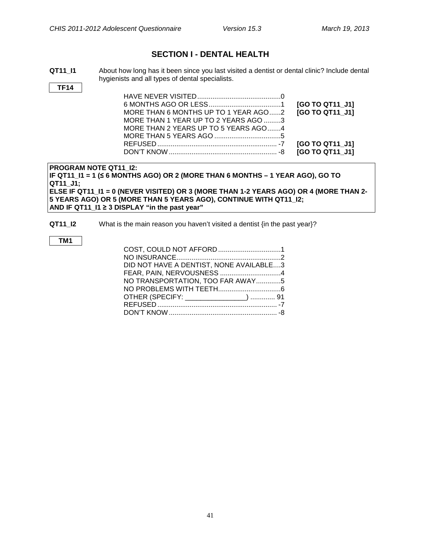### **SECTION I - DENTAL HEALTH**

<span id="page-43-0"></span>**QT11 I1** About how long has it been since you last visited a dentist or dental clinic? Include dental hygienists and all types of dental specialists.

**TF14**

|                                                             | [GO TO QT11 J1] |
|-------------------------------------------------------------|-----------------|
| MORE THAN 6 MONTHS UP TO 1 YEAR AGO2 <b>[GO TO QT11 J1]</b> |                 |
| MORE THAN 1 YEAR UP TO 2 YEARS AGO 3                        |                 |
| MORE THAN 2 YEARS UP TO 5 YEARS AGO4                        |                 |
|                                                             |                 |
|                                                             |                 |
|                                                             |                 |

**PROGRAM NOTE QT11\_I2: IF QT11\_I1 = 1 (≤ 6 MONTHS AGO) OR 2 (MORE THAN 6 MONTHS – 1 YEAR AGO), GO TO QT11\_J1; ELSE IF QT11\_I1 = 0 (NEVER VISITED) OR 3 (MORE THAN 1-2 YEARS AGO) OR 4 (MORE THAN 2- 5 YEARS AGO) OR 5 (MORE THAN 5 YEARS AGO), CONTINUE WITH QT11\_I2; AND IF QT11\_I1 ≥ 3 DISPLAY "in the past year"**

#### **QT11\_I2** What is the main reason you haven't visited a dentist {in the past year}?

#### **TM1**

| COST, COULD NOT AFFORD1                 |  |
|-----------------------------------------|--|
|                                         |  |
| DID NOT HAVE A DENTIST, NONE AVAILABLE3 |  |
| FEAR, PAIN, NERVOUSNESS 4               |  |
| NO TRANSPORTATION, TOO FAR AWAY5        |  |
|                                         |  |
| OTHER (SPECIFY: ________________)  91   |  |
|                                         |  |
|                                         |  |
|                                         |  |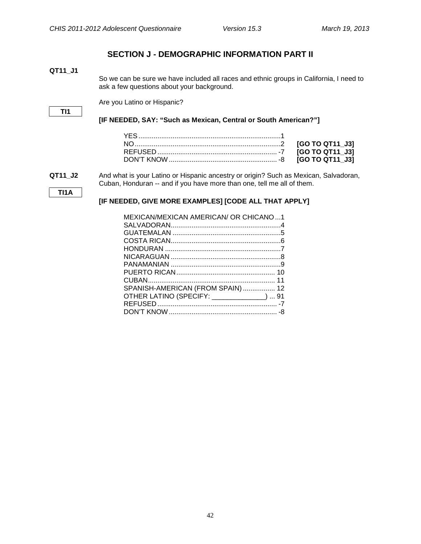### **SECTION J - DEMOGRAPHIC INFORMATION PART II**

<span id="page-44-1"></span><span id="page-44-0"></span>**QT11\_J1**

So we can be sure we have included all races and ethnic groups in California, I need to ask a few questions about your background.

Are you Latino or Hispanic?

#### **TI1**

**[IF NEEDED, SAY: "Such as Mexican, Central or South American?"]**

**QT11\_J2** And what is your Latino or Hispanic ancestry or origin? Such as Mexican, Salvadoran, Cuban, Honduran -- and if you have more than one, tell me all of them.

**TI1A**

#### **[IF NEEDED, GIVE MORE EXAMPLES] [CODE ALL THAT APPLY]**

| MEXICAN/MEXICAN AMERICAN/ OR CHICANO1      |
|--------------------------------------------|
|                                            |
|                                            |
|                                            |
|                                            |
|                                            |
|                                            |
|                                            |
|                                            |
| SPANISH-AMERICAN (FROM SPAIN) 12           |
| OTHER LATINO (SPECIFY: ______________)  91 |
|                                            |
|                                            |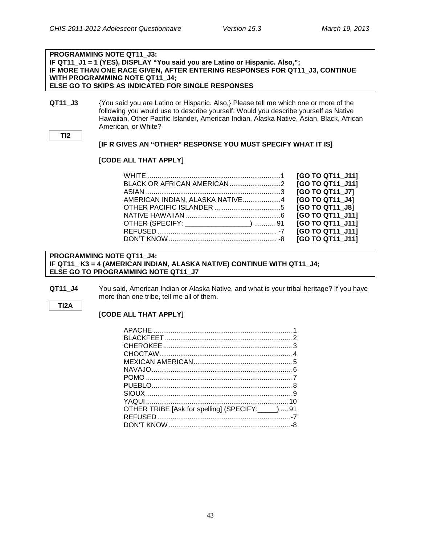#### **PROGRAMMING NOTE QT11\_J3: IF QT11\_J1 = 1 (YES), DISPLAY "You said you are Latino or Hispanic. Also,"; IF MORE THAN ONE RACE GIVEN, AFTER ENTERING RESPONSES FOR QT11\_J3, CONTINUE WITH PROGRAMMING NOTE QT11\_J4; ELSE GO TO SKIPS AS INDICATED FOR SINGLE RESPONSES**

**QT11 J3** {You said you are Latino or Hispanic. Also,} Please tell me which one or more of the following you would use to describe yourself: Would you describe yourself as Native Hawaiian, Other Pacific Islander, American Indian, Alaska Native, Asian, Black, African American, or White?

**TI2**

#### **[IF R GIVES AN "OTHER" RESPONSE YOU MUST SPECIFY WHAT IT IS]**

#### **[CODE ALL THAT APPLY]**

|                                        | [GO TO QT11 J11] |
|----------------------------------------|------------------|
|                                        | [GO TO QT11 J11] |
|                                        | [GO TO QT11 J7]  |
| AMERICAN INDIAN, ALASKA NATIVE4        | [GO TO QT11_J4]  |
|                                        | [GO TO QT11 J8]  |
|                                        | [GO TO QT11 J11] |
| OTHER (SPECIFY: _________________)  91 | [GO TO QT11 J11] |
|                                        | [GO TO QT11 J11] |
|                                        | [GO TO QT11 J11] |

#### **PROGRAMMING NOTE QT11\_J4: IF QT11\_ K3 = 4 (AMERICAN INDIAN, ALASKA NATIVE) CONTINUE WITH QT11\_J4; ELSE GO TO PROGRAMMING NOTE QT11\_J7**

**QT11 J4** You said, American Indian or Alaska Native, and what is your tribal heritage? If you have more than one tribe, tell me all of them.

#### **TI2A**

#### **[CODE ALL THAT APPLY]**

| OTHER TRIBE [Ask for spelling] (SPECIFY: _____)  91 |  |
|-----------------------------------------------------|--|
|                                                     |  |
|                                                     |  |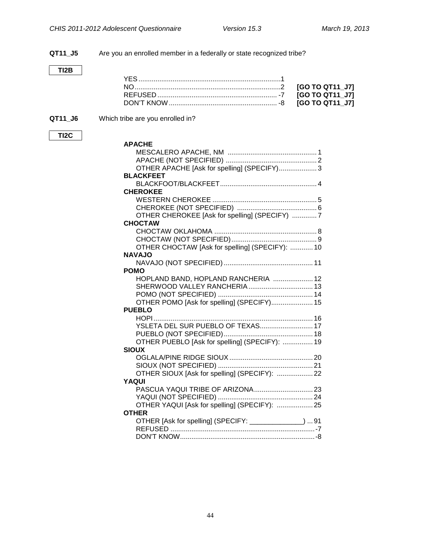**QT11\_J5** Are you an enrolled member in a federally or state recognized tribe? **TI2B** YES...........................................................................1 NO.............................................................................2 **[GO TO QT11\_J7]** REFUSED ............................................................... -7 **[GO TO QT11\_J7]** DON'T KNOW......................................................... -8 **[GO TO QT11\_J7] QT11 J6** Which tribe are you enrolled in? **TI2C APACHE** MESCALERO APACHE, NM ............................................... 1 APACHE (NOT SPECIFIED) ................................................ 2 OTHER APACHE [Ask for spelling] (SPECIFY).................... 3 **BLACKFEET** BLACKFOOT/BLACKFEET................................................... 4 **CHEROKEE** WESTERN CHEROKEE ....................................................... 5 CHEROKEE (NOT SPECIFIED) .......................................... 6 OTHER CHEROKEE [Ask for spelling] (SPECIFY) ............. 7 **CHOCTAW** CHOCTAW OKLAHOMA ...................................................... 8 CHOCTAW (NOT SPECIFIED)............................................. 9 OTHER CHOCTAW [Ask for spelling] (SPECIFY): ............ 10 **NAVAJO** NAVAJO (NOT SPECIFIED)............................................... 11 **POMO** HOPLAND BAND, HOPLAND RANCHERIA ..................... 12 SHERWOOD VALLEY RANCHERIA.................................. 13 POMO (NOT SPECIFIED) .................................................. 14 OTHER POMO [Ask for spelling] (SPECIFY)...................... 15 **PUEBLO** HOPI.................................................................................... 16 YSLETA DEL SUR PUEBLO OF TEXAS............................ 17 PUEBLO (NOT SPECIFIED)............................................... 18 OTHER PUEBLO [Ask for spelling] (SPECIFY): ................ 19 **SIOUX** OGLALA/PINE RIDGE SIOUX............................................ 20 SIOUX (NOT SPECIFIED) .................................................. 21 OTHER SIOUX [Ask for spelling] (SPECIFY): ................... 22 **YAQUI** PASCUA YAQUI TRIBE OF ARIZONA............................... 23 YAQUI (NOT SPECIFIED) .................................................. 24 OTHER YAQUI [Ask for spelling] (SPECIFY): ................... 25 **OTHER** OTHER [Ask for spelling] (SPECIFY: \_\_\_\_\_\_\_\_\_\_\_\_\_\_) ... 91 REFUSED ............................................................................-7 DON'T KNOW.......................................................................-8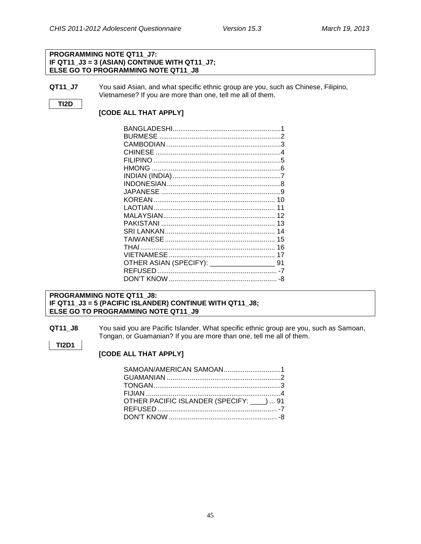#### **PROGRAMMING NOTE QT11\_J7: IF QT11\_J3 = 3 (ASIAN) CONTINUE WITH QT11\_J7; ELSE GO TO PROGRAMMING NOTE QT11\_J8**

**QT11\_J7** You said Asian, and what specific ethnic group are you, such as Chinese, Filipino, Vietnamese? If you are more than one, tell me all of them.

#### **TI2D**

**TI2D1**

#### **[CODE ALL THAT APPLY]**

| CHINESE |    |
|---------|----|
|         |    |
|         |    |
|         |    |
|         |    |
|         |    |
|         |    |
|         | 11 |
|         |    |
|         |    |
|         | 14 |
|         | 15 |
|         |    |
|         | 17 |
|         |    |
|         |    |
|         | -8 |

#### **PROGRAMMING NOTE QT11\_J8: IF QT11\_J3 = 5 (PACIFIC ISLANDER) CONTINUE WITH QT11\_J8; ELSE GO TO PROGRAMMING NOTE QT11\_J9**

**QT11\_J8** You said you are Pacific Islander. What specific ethnic group are you, such as Samoan, Tongan, or Guamanian? If you are more than one, tell me all of them.

#### **[CODE ALL THAT APPLY]**

| OTHER PACIFIC ISLANDER (SPECIFY: ___)  91 |
|-------------------------------------------|
|                                           |
|                                           |
|                                           |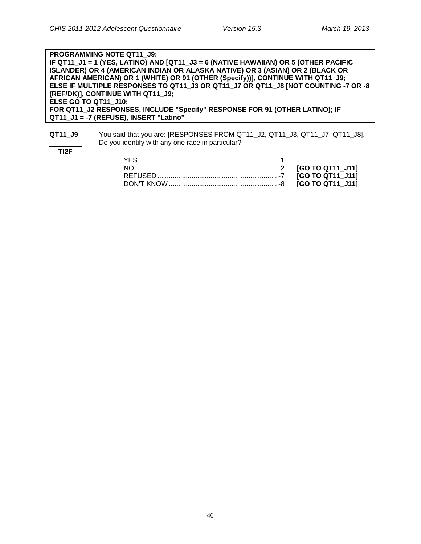**TI2F**

**PROGRAMMING NOTE QT11\_J9: IF QT11\_J1 = 1 (YES, LATINO) AND [QT11\_J3 = 6 (NATIVE HAWAIIAN) OR 5 (OTHER PACIFIC ISLANDER) OR 4 (AMERICAN INDIAN OR ALASKA NATIVE) OR 3 (ASIAN) OR 2 (BLACK OR AFRICAN AMERICAN) OR 1 (WHITE) OR 91 (OTHER (Specify))], CONTINUE WITH QT11\_J9; ELSE IF MULTIPLE RESPONSES TO QT11\_J3 OR QT11\_J7 OR QT11\_J8 [NOT COUNTING -7 OR -8 (REF/DK)], CONTINUE WITH QT11\_J9; ELSE GO TO QT11\_J10; FOR QT11\_J2 RESPONSES, INCLUDE "Specify" RESPONSE FOR 91 (OTHER LATINO); IF QT11\_J1 = -7 (REFUSE), INSERT "Latino"**

**QT11\_J9** You said that you are: [RESPONSES FROM QT11\_J2, QT11\_J3, QT11\_J7, QT11\_J8]. Do you identify with any one race in particular?

46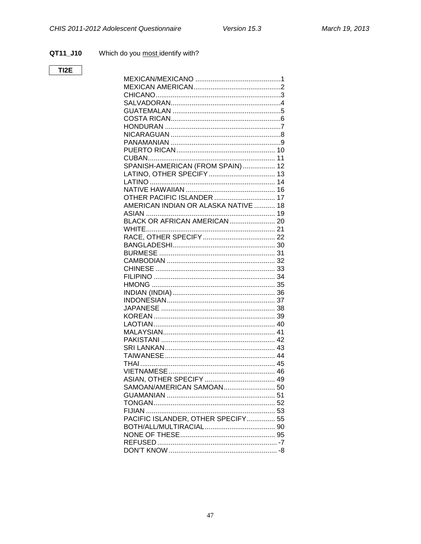#### QT11\_J10 Which do you most identify with?

### $TI2E$

| SPANISH-AMERICAN (FROM SPAIN)  12    |  |
|--------------------------------------|--|
|                                      |  |
|                                      |  |
| <b>OTHER PACIFIC ISLANDER  17</b>    |  |
| AMERICAN INDIAN OR ALASKA NATIVE  18 |  |
|                                      |  |
|                                      |  |
|                                      |  |
|                                      |  |
|                                      |  |
|                                      |  |
|                                      |  |
|                                      |  |
|                                      |  |
|                                      |  |
|                                      |  |
|                                      |  |
|                                      |  |
|                                      |  |
|                                      |  |
|                                      |  |
|                                      |  |
|                                      |  |
|                                      |  |
|                                      |  |
|                                      |  |
|                                      |  |
|                                      |  |
|                                      |  |
|                                      |  |
|                                      |  |
| PACIFIC ISLANDER, OTHER SPECIFY 55   |  |
|                                      |  |
|                                      |  |
|                                      |  |
|                                      |  |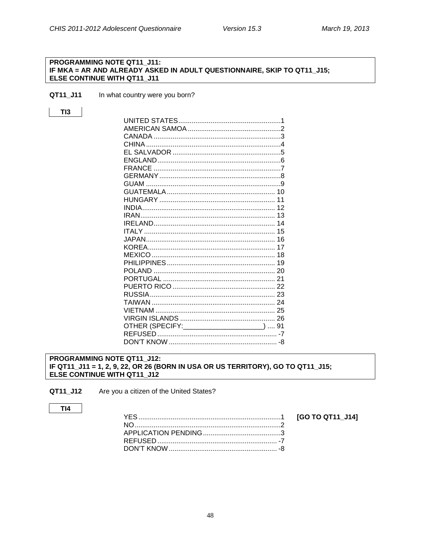[GO TO QT11\_J14]

#### <span id="page-50-0"></span>PROGRAMMING NOTE QT11\_J11: IF MKA = AR AND ALREADY ASKED IN ADULT QUESTIONNAIRE, SKIP TO QT11\_J15; ELSE CONTINUE WITH QT11\_J11

- QT11\_J11 In what country were you born?
- $TI3$

| GUAM                                         |  |
|----------------------------------------------|--|
|                                              |  |
|                                              |  |
|                                              |  |
|                                              |  |
|                                              |  |
|                                              |  |
|                                              |  |
|                                              |  |
|                                              |  |
|                                              |  |
|                                              |  |
|                                              |  |
|                                              |  |
|                                              |  |
|                                              |  |
|                                              |  |
|                                              |  |
| OTHER (SPECIFY: _______________________)  91 |  |
|                                              |  |
|                                              |  |

#### <span id="page-50-1"></span>PROGRAMMING NOTE QT11 J12: IF QT11\_J11 = 1, 2, 9, 22, OR 26 (BORN IN USA OR US TERRITORY), GO TO QT11\_J15; ELSE CONTINUE WITH QT11\_J12

QT11\_J12 Are you a citizen of the United States?

#### $TI4$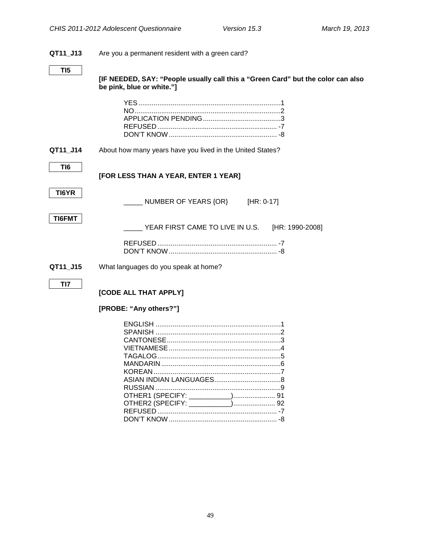## **QT11\_J13** Are you a permanent resident with a green card? **TI5 [IF NEEDED, SAY: "People usually call this a "Green Card" but the color can also be pink, blue or white."]** YES...........................................................................1 NO.............................................................................2 APPLICATION PENDING.........................................3 REFUSED ............................................................... -7 DON'T KNOW......................................................... -8 **QT11\_J14** About how many years have you lived in the United States? **TI6 [FOR LESS THAN A YEAR, ENTER 1 YEAR] TI6YR** NUMBER OF YEARS {OR} [HR: 0-17] **TI6FMT** \_\_\_\_\_ YEAR FIRST CAME TO LIVE IN U.S. [HR: 1990-2008] REFUSED ............................................................... -7 DON'T KNOW......................................................... -8 **QT11\_J15** What languages do you speak at home? **TI7 [CODE ALL THAT APPLY] [PROBE: "Any others?"]** ENGLISH ..................................................................1 SPANISH ..................................................................2 CANTONESE............................................................3 VIETNAMESE...........................................................4

<span id="page-51-0"></span>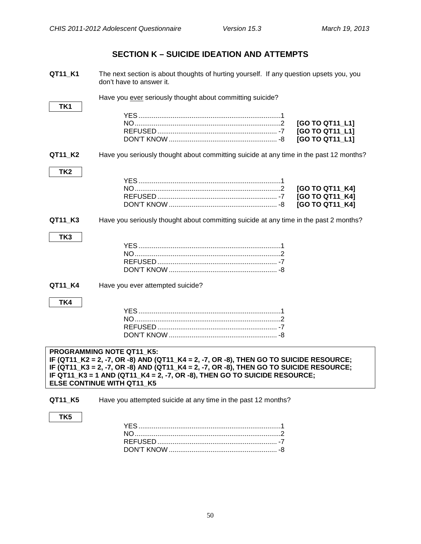### **SECTION K – SUICIDE IDEATION AND ATTEMPTS**

<span id="page-52-0"></span>

| QT11_K1         | The next section is about thoughts of hurting yourself. If any question upsets you, you<br>don't have to answer it. |                 |  |
|-----------------|---------------------------------------------------------------------------------------------------------------------|-----------------|--|
| TK1             | Have you ever seriously thought about committing suicide?                                                           |                 |  |
|                 |                                                                                                                     |                 |  |
|                 |                                                                                                                     | [GO TO QT11_L1] |  |
|                 |                                                                                                                     | [GO TO QT11_L1] |  |
|                 |                                                                                                                     | [GO TO QT11_L1] |  |
| QT11_K2         | Have you seriously thought about committing suicide at any time in the past 12 months?                              |                 |  |
| TK <sub>2</sub> |                                                                                                                     |                 |  |
|                 |                                                                                                                     |                 |  |
|                 |                                                                                                                     | [GO TO QT11_K4] |  |
|                 |                                                                                                                     | [GO TO QT11_K4] |  |
|                 |                                                                                                                     | [GO TO QT11 K4] |  |
| QT11_K3         | Have you seriously thought about committing suicide at any time in the past 2 months?                               |                 |  |
| TK3             |                                                                                                                     |                 |  |
|                 |                                                                                                                     |                 |  |
|                 |                                                                                                                     |                 |  |
|                 |                                                                                                                     |                 |  |
|                 |                                                                                                                     |                 |  |
|                 |                                                                                                                     |                 |  |
| QT11_K4         | Have you ever attempted suicide?                                                                                    |                 |  |
|                 |                                                                                                                     |                 |  |
| TK4             |                                                                                                                     |                 |  |
|                 |                                                                                                                     |                 |  |
|                 |                                                                                                                     |                 |  |
|                 |                                                                                                                     |                 |  |
|                 |                                                                                                                     |                 |  |
|                 | PROGRAMMING NOTE QT11 K5:                                                                                           |                 |  |
|                 | IF (QT11_K2 = 2, -7, OR -8) AND (QT11_K4 = 2, -7, OR -8), THEN GO TO SUICIDE RESOURCE;                              |                 |  |
|                 | IF (QT11_K3 = 2, -7, OR -8) AND (QT11_K4 = 2, -7, OR -8), THEN GO TO SUICIDE RESOURCE;                              |                 |  |
|                 | IF QT11 $K3 = 1$ AND (QT11 $K4 = 2, -7$ , OR -8), THEN GO TO SUICIDE RESOURCE;                                      |                 |  |
|                 | ELSE CONTINUE WITH QT11_K5                                                                                          |                 |  |
| QT11_K5         | Have you attempted suicide at any time in the past 12 months?                                                       |                 |  |
|                 |                                                                                                                     |                 |  |
| TK <sub>5</sub> |                                                                                                                     |                 |  |
|                 |                                                                                                                     |                 |  |
|                 |                                                                                                                     |                 |  |
|                 |                                                                                                                     |                 |  |
|                 |                                                                                                                     |                 |  |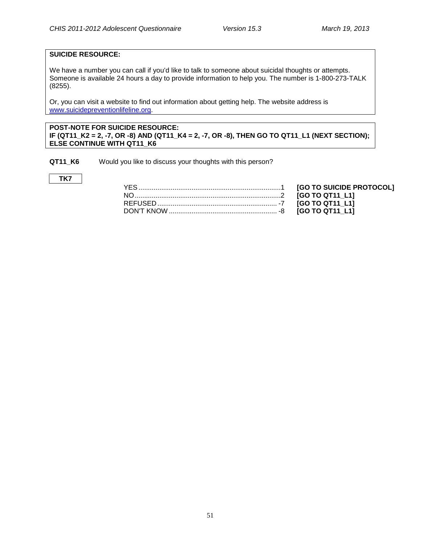#### **SUICIDE RESOURCE:**

We have a number you can call if you'd like to talk to someone about suicidal thoughts or attempts. Someone is available 24 hours a day to provide information to help you. The number is 1-800-273-TALK (8255).

Or, you can visit a website to find out information about getting help. The website address is [www.suicidepreventionlifeline.org.](http://www.suicidepreventionlifeline.org/)

#### **POST-NOTE FOR SUICIDE RESOURCE: IF (QT11\_K2 = 2, -7, OR -8) AND (QT11\_K4 = 2, -7, OR -8), THEN GO TO QT11\_L1 (NEXT SECTION); ELSE CONTINUE WITH QT11\_K6**

**QT11\_K6** Would you like to discuss your thoughts with this person?

#### **TK7**

[GO TO SUICIDE PROTOCOL] NO.............................................................................2 **[GO TO QT11\_L1]** REFUSED ............................................................... -7 **[GO TO QT11\_L1]** [GO TO QT11\_L1]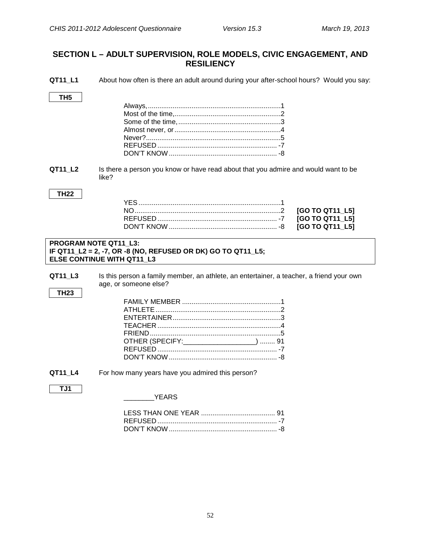### <span id="page-54-0"></span>**SECTION L – ADULT SUPERVISION, ROLE MODELS, CIVIC ENGAGEMENT, AND RESILIENCY**

<span id="page-54-1"></span>**AT11\_L1** About how often is there an adult around during your after-school hours? Would you say:

<span id="page-54-2"></span>

| TH5                   | Never?…………………………………………………………5                                                                                                                                   |
|-----------------------|-----------------------------------------------------------------------------------------------------------------------------------------------------------------|
| QT11_L2               | Is there a person you know or have read about that you admire and would want to be<br>like?                                                                     |
| <b>TH22</b>           | [GO TO QT11_L5]<br>[GO TO QT11_L5]<br>[GO TO QT11 L5]                                                                                                           |
| PROGRAM NOTE QT11_L3: | IF QT11_L2 = 2, -7, OR -8 (NO, REFUSED OR DK) GO TO QT11_L5;<br><b>ELSE CONTINUE WITH QT11 L3</b>                                                               |
| QT11 L3<br>TH23       | Is this person a family member, an athlete, an entertainer, a teacher, a friend your own<br>age, or someone else?<br>OTHER (SPECIFY: _____________________)  91 |
|                       |                                                                                                                                                                 |
| QT11_L4<br>TJ1        | For how many years have you admired this person?<br><b>YEARS</b>                                                                                                |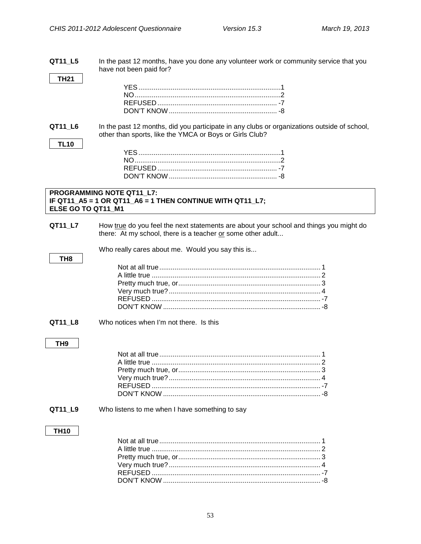<span id="page-55-0"></span>QT11 L5 In the past 12 months, have you done any volunteer work or community service that you have not been paid for?

QT11 L6 In the past 12 months, did you participate in any clubs or organizations outside of school, other than sports, like the YMCA or Boys or Girls Club?

#### <span id="page-55-1"></span>PROGRAMMING NOTE QT11\_L7: IF QT11\_A5 = 1 OR QT11\_A6 = 1 THEN CONTINUE WITH QT11\_L7; ELSE GO TO QT11\_M1

QT11\_L7 How true do you feel the next statements are about your school and things you might do there: At my school, there is a teacher or some other adult...

Who really cares about me. Would you say this is...

Who notices when I'm not there. Is this QT11 L8

#### TH<sub>9</sub>

TH<sub>8</sub>

**TH21** 

**TL10** 

QT11 L9 Who listens to me when I have something to say

#### **TH10**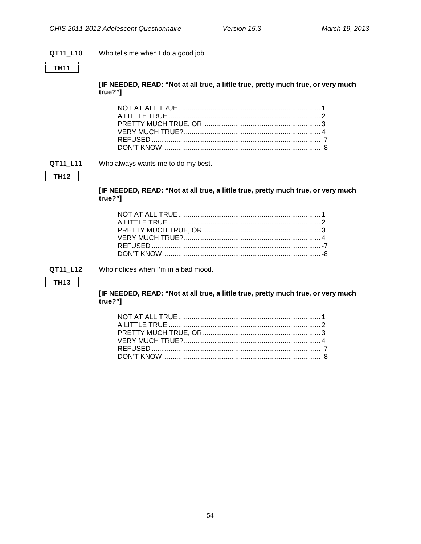#### QT11\_L10 Who tells me when I do a good job.

### $TH11$

[IF NEEDED, READ: "Not at all true, a little true, pretty much true, or very much true?"]

#### QT11 L11 Who always wants me to do my best.

#### **TH12**

[IF NEEDED, READ: "Not at all true, a little true, pretty much true, or very much true?"]

QT11 L12 Who notices when I'm in a bad mood.

#### **TH13**

[IF NEEDED, READ: "Not at all true, a little true, pretty much true, or very much true?"]